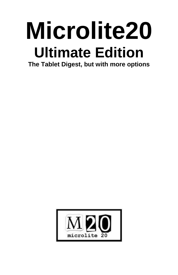# **Microlite20 Ultimate Edition The Tablet Digest, but with more options**

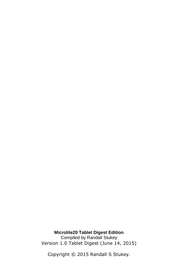#### **Microlite20 Tablet Digest Edition**

Compiled by Randall Stukey Version 1.0 Tablet Digest (June 14, 2015)

Copyright © 2015 Randall S Stukey.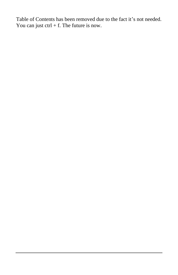Table of Contents has been removed due to the fact it's not needed. You can just  $ctrl + f$ . The future is now.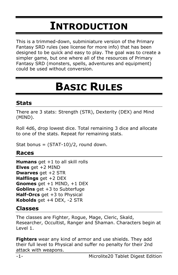## **INTRODUCTION**

This is a trimmed-down, subminiature version of the Primary Fantasy SRD rules (see license for more info) that has been designed to be quick and easy to play. The goal was to create a simpler game, but one where all of the resources of Primary Fantasy SRD (monsters, spells, adventures and equipment) could be used without conversion.

## **BASIC RULES**

## **Stats**

There are 3 stats: Strength (STR), Dexterity (DEX) and Mind (MIND).

Roll 4d6, drop lowest dice. Total remaining 3 dice and allocate to one of the stats. Repeat for remaining stats.

Stat bonus =  $(STAT-10)/2$ , round down.

## **Races**

**Humans** get +1 to all skill rolls **Elves** get +2 MIND **Dwarves** get +2 STR **Halflings** get +2 DEX **Gnomes** get +1 MIND, +1 DEX **Goblins** get +3 to Subterfuge **Half-Orcs** get +3 to Physical **Kobolds** get +4 DEX, -2 STR

## **Classes**

The classes are Fighter, Rogue, Mage, Cleric, Skald, Researcher, Occultist, Ranger and Shaman. Characters begin at Level 1.

**Fighters** wear any kind of armor and use shields. They add their full level to Physical and suffer no penalty for their 2nd attack with weapons.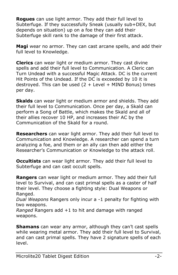**Rogues** can use light armor. They add their full level to Subterfuge. If they successfully Sneak (usually sub+DEX, but depends on situation) up on a foe they can add their Subterfuge skill rank to the damage of their first attack.

**Magi** wear no armor. They can cast arcane spells, and add their full level to Knowledge.

**Clerics** can wear light or medium armor. They cast divine spells and add their full level to Communication. A Cleric can Turn Undead with a successful Magic Attack. DC is the current Hit Points of the Undead. If the DC is exceeded by 10 it is destroyed. This can be used  $(2 + Level + MIND$  Bonus) times per day.

**Skalds** can wear light or medium armor and shields. They add their full level to Communication. Once per day, a Skald can perform a Song of Battle, which makes the Skald and all of their allies recover 10 HP, and increases their AC by the Communication of the Skald for a round.

**Researchers** can wear light armor. They add their full level to Communication and Knowledge. A researcher can spend a turn analyzing a foe, and them or an ally can then add either the Researcher's Communication or Knowledge to the attack roll.

**Occultists** can wear light armor. They add their full level to Subterfuge and can cast occult spells.

**Rangers** can wear light or medium armor. They add their full level to Survival, and can cast primal spells as a caster of half their level. They choose a fighting style: Dual Weapons or Ranged.

*Dual Weapons* Rangers only incur a -1 penalty for fighting with two weapons.

*Ranged* Rangers add +1 to hit and damage with ranged weapons.

**Shamans** can wear any armor, although they can't cast spells while wearing metal armor. They add their full level to Survival, and can cast primal spells. They have 2 signature spells of each level.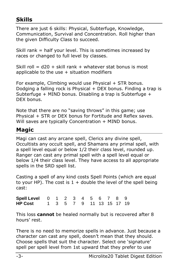## **Skills**

There are just 6 skills: Physical, Subterfuge, Knowledge, Communication, Survival and Concentration. Roll higher than the given Difficulty Class to succeed.

Skill rank = half your level. This is sometimes increased by races or changed to full level by classes.

Skill roll =  $d20 +$  skill rank + whatever stat bonus is most applicable to the use  $+$  situation modifiers

For example, Climbing would use Physical + STR bonus. Dodging a falling rock is Physical + DEX bonus. Finding a trap is Subterfuge + MIND bonus. Disabling a trap is Subterfuge + DEX bonus.

Note that there are no "saving throws" in this game; use Physical + STR or DEX bonus for Fortitude and Reflex saves. Will saves are typically Concentration + MIND bonus.

## **Magic**

Magi can cast any arcane spell, Clerics any divine spell, Occultists any occult spell, and Shamans any primal spell, with a spell level equal or below 1/2 their class level, rounded up. Ranger can cast any primal spell with a spell level equal or below 1/4 their class level. They have access to all appropriate spells in the SRD spell list.

Casting a spell of any kind costs Spell Points (which are equal to your HP). The cost is  $1 +$  double the level of the spell being cast:

| Spell Level 0 1 2 3 4 5 6 7 8 9  |  |  |  |  |  |
|----------------------------------|--|--|--|--|--|
| HP Cost 1 3 5 7 9 11 13 15 17 19 |  |  |  |  |  |

This loss **cannot** be healed normally but is recovered after 8 hours' rest.

There is no need to memorize spells in advance. Just because a character can cast any spell, doesn't mean that they should. Choose spells that suit the character. Select one 'signature' spell per spell level from 1st upward that they prefer to use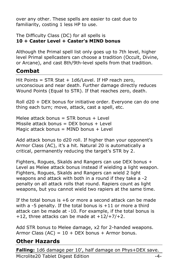over any other. These spells are easier to cast due to familiarity, costing 1 less HP to use.

#### The Difficulty Class (DC) for all spells is **10 + Caster Level + Caster's MIND bonus**

Although the Primal spell list only goes up to 7th level, higher level Primal spellcasters can choose a tradition (Occult, Divine, or Arcane), and cast 8th/9th-level spells from that tradition.

#### **Combat**

Hit Points =  $STR Stat + 1d6/Level$ . If HP reach zero, unconscious and near death. Further damage directly reduces Wound Points (Equal to STR). If that reaches zero, death.

Roll d20 + DEX bonus for initiative order. Everyone can do one thing each turn; move, attack, cast a spell, etc.

Melee attack bonus  $=$  STR bonus  $+$  Level Missile attack bonus = DEX bonus + Level Magic attack bonus  $=$  MIND bonus  $+$  Level

Add attack bonus to d20 roll. If higher than your opponent's Armor Class (AC), it's a hit. Natural 20 is automatically a critical, permanently reducing the target's STR by 2.

Fighters, Rogues, Skalds and Rangers can use DEX bonus + Level as Melee attack bonus instead if wielding a light weapon. Fighters, Rogues, Skalds and Rangers can wield 2 light weapons and attack with both in a round if they take a -2 penalty on all attack rolls that round. Rapiers count as light weapons, but you cannot wield two rapiers at the same time.

If the total bonus is  $+6$  or more a second attack can be made with a -5 penalty. If the total bonus is +11 or more a third attack can be made at -10. For example, if the total bonus is +12, three attacks can be made at  $+12/+7/+2$ .

Add STR bonus to Melee damage, x2 for 2-handed weapons. Armor Class  $(AC) = 10 + DEX$  bonus + Armor bonus.

## **Other Hazards**

Microlite20 Tablet Digest Edition -4-**Falling:** 1d6 damage per 10', half damage on Phys+DEX save.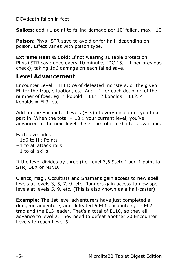DC=depth fallen in feet

**Spikes:** add +1 point to falling damage per 10' fallen, max +10

**Poison:** Phys+STR save to avoid or for half, depending on poison. Effect varies with poison type.

**Extreme Heat & Cold:** If not wearing suitable protection, Phys+STR save once every 10 minutes (DC 15, +1 per previous check), taking 1d6 damage on each failed save.

#### **Level Advancement**

Encounter Level  $=$  Hit Dice of defeated monsters, or the given EL for the trap, situation, etc. Add  $+1$  for each doubling of the number of foes. eg: 1 kobold = EL1. 2 kobolds = EL2. 4 kobolds = EL3, etc.

Add up the Encounter Levels (ELs) of every encounter you take part in. When the total  $= 10 \times$  your current level, you've advanced to the next level. Reset the total to 0 after advancing.

Each level adds: +1d6 to Hit Points +1 to all attack rolls +1 to all skills

If the level divides by three (i.e. level 3,6,9,etc.) add 1 point to STR, DEX or MIND.

Clerics, Magi, Occultists and Shamans gain access to new spell levels at levels 3, 5, 7, 9, etc. Rangers gain access to new spell levels at levels 5, 9, etc. (This is also known as a half-caster)

**Example:** The 1st level adventurers have just completed a dungeon adventure, and defeated 5 EL1 encounters, an EL2 trap and the EL3 leader. That's a total of EL10, so they all advance to level 2. They need to defeat another 20 Encounter Levels to reach Level 3.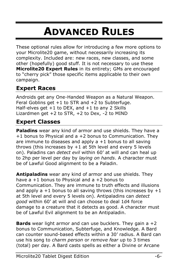# **ADVANCED RULES**

These optional rules allow for introducing a few more options to your Microlite20 game, without necessarily increasing its complexity. Included are: new races, new classes, and some other (hopefully) good stuff. It is not necessary to use these **Microlite20 Expert Rules** in its entirety; GMs are encouraged to "cherry pick" those specific items applicable to their own campaign.

## **Expert Races**

Androids get any One-Handed Weapon as a Natural Weapon. Feral Goblins get  $+1$  to STR and  $+2$  to Subterfuge. Half-elves get +1 to DEX, and +1 to any 2 Skills Lizardmen get +2 to STR, +2 to Dex, -2 to MIND

## **Expert Classes**

**Paladins** wear any kind of armor and use shields. They have a  $+1$  bonus to Physical and a  $+2$  bonus to Communication. They are immune to diseases and apply  $a + 1$  bonus to all saving throws (this increases by  $+1$  at 5th level and every 5 levels on). Paladins can *detect evil* within 60' at will and can heal up to 2hp per level per day by *laying on hands*. A character must be of Lawful Good alignment to be a Paladin.

**Antipaladins** wear any kind of armor and use shields. They have  $a + 1$  bonus to Physical and  $a + 2$  bonus to Communication. They are immune to truth effects and illusions and apply a  $+1$  bonus to all saving throws (this increases by  $+1$ at 5th level and every 5 levels on). Antipaladins can *detect good* within 60' at will and can choose to deal 1d4 force damage to a creature that it detects as good. A character must be of Lawful Evil alignment to be an Antipaladin.

**Bards** wear light armor and can use bucklers. They gain a +2 bonus to Communication, Subterfuge, and Knowledge. A Bard can counter sound-based effects within a 30' radius. A Bard can use his song to *charm person* or *remove fear* up to 3 times (total) per day. A Bard casts spells as either a Divine or Arcane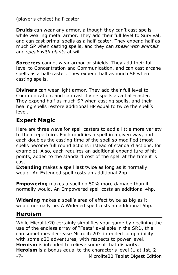(player's choice) half-caster.

**Druids** can wear any armor, although they can't cast spells while wearing metal armor. They add their full level to Survival, and can cast primal spells as a half-caster. They expend half as much SP when casting spells, and they can *speak with animals*  and *speak with plants* at will.

**Sorcerers** cannot wear armor or shields. They add their full level to Concentration and Communication, and can cast arcane spells as a half-caster. They expend half as much SP when casting spells.

**Diviners** can wear light armor. They add their full level to Communication, and can cast divine spells as a half-caster. They expend half as much SP when casting spells, and their healing spells restore additional HP equal to twice the spell's level.

## **Expert Magic**

Here are three ways for spell casters to add a little more variety to their repertoire. Each modifies a spell in a given way, and each doubles the casting time of the spell so modified (most spells become full round actions instead of standard actions, for example). Also, each requires an additional expenditure of hit points, added to the standard cost of the spell at the time it is cast.

**Extending** makes a spell last twice as long as it normally would. An Extended spell costs an additional 2hp.

**Empowering** makes a spell do 50% more damage than it normally would. An Empowered spell costs an additional 4hp.

**Widening** makes a spell's area of effect twice as big as it would normally be. A Widened spell costs an additional 6hp.

#### **Heroism**

While Microlite20 certainly simplifies your game by declining the use of the endless array of "Feats" available in the SRD, this can sometimes decrease Microlite20's intended compatibility with some d20 adventures, with respects to power level. **Heroism** is intended to relieve some of that disparity. **Heroism** is a bonus equal to the character's level (1 at 1st, 2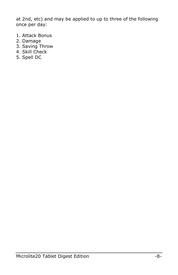at 2nd, etc) and may be applied to up to three of the following once per day:

- 1. Attack Bonus
- 2. Damage
- 3. Saving Throw
- 4. Skill Check
- 5. Spell DC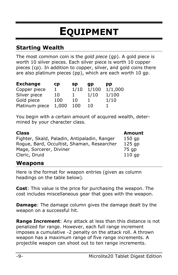## **EQUIPMENT**

## **Starting Wealth**

The most common coin is the *gold piece* (gp). A gold piece is worth 10 silver pieces. Each silver piece is worth 10 copper pieces (cp). In addition to copper, silver, and gold coins there are also platinum pieces (pp), which are each worth 10 gp.

| <b>Exchange</b> | <b>CD</b> | <b>SD</b> | qp    | рp      |
|-----------------|-----------|-----------|-------|---------|
| Copper piece    |           | 1/10      | 1/100 | 1/1,000 |
| Silver piece    | 10        |           | 1/10  | 1/100   |
| Gold piece      | 100       | 10        |       | 1/10    |
| Platinum piece  | 1,000     | 100       | 10    |         |

You begin with a certain amount of acquired wealth, determined by your character class.

| <b>Class</b>                                 | Amount   |
|----------------------------------------------|----------|
| Fighter, Skald, Paladin, Antipaladin, Ranger | $150$ gp |
| Rogue, Bard, Occultist, Shaman, Researcher   | 125 gp   |
| Mage, Sorcerer, Diviner                      | 75 ap    |
| Cleric, Druid                                | $110$ gp |

#### **Weapons**

Here is the format for weapon entries (given as column headings on the table below).

**Cost**: This value is the price for purchasing the weapon. The cost includes miscellaneous gear that goes with the weapon.

**Damage**: The damage column gives the damage dealt by the weapon on a successful hit.

**Range Increment**: Any attack at less than this distance is not penalized for range. However, each full range increment imposes a cumulative -2 penalty on the attack roll. A thrown weapon has a maximum range of five range increments. A projectile weapon can shoot out to ten range increments.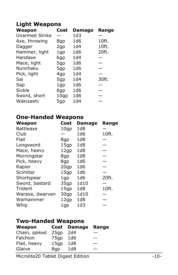## **Light Weapons**

| Weapon                | Cost | <b>Damage</b>   | Range |
|-----------------------|------|-----------------|-------|
| <b>Unarmed Strike</b> |      | 1d3             |       |
| Axe, throwing         | 8gp  | 1d6             | 10ft. |
| Dagger                | 2gp  | 1 <sub>d4</sub> | 10ft. |
| Hammer, light         | 1qp  | 1d6             | 20ft. |
| Handaxe               | 6gp  | 1 <sub>d4</sub> |       |
| Mace, light           | 5gp  | 1d6             |       |
| Nunchaku              | 5gp  | 1d6             |       |
| Pick, light           | 4gp  | 1 <sub>d4</sub> |       |
| Sai                   | 5gp  | 1 <sub>d4</sub> | 30ft. |
| Sap                   | 1qp  | 1d6             |       |
| Sickle                | 6gp  | 1d6             |       |
| Sword, short          | 10qp | 1d6             |       |
| Wakizashi             | 5gp  | 1d4             |       |
|                       |      |                 |       |

#### **One-Handed Weapons**

| Weapon           | Cost             | Damage | Range |
|------------------|------------------|--------|-------|
| <b>Battleaxe</b> | 10qp             | 1d8    |       |
| Club             |                  | 1d6    | 10ft. |
| Flail            | 8gp              | 1d8    |       |
| Longsword        | 15 <sub>gp</sub> | 1d8    |       |
| Mace, heavy      | 12gp             | 1d8    |       |
| Morningstar      | 8gp              | 1d8    |       |
| Pick, heavy      | 8gp              | 1d6    |       |
| Rapier           | 20gp             | 1d6    |       |
| Scimitar         | 15 <sub>gp</sub> | 1d6    |       |
| Shortspear       | 1gp              | 1d6    | 20ft. |
| Sword, bastard   | 35gp             | 1d10   |       |
| Trident          | 15 <sub>gp</sub> | 1d8    | 10ft. |
| Waraxe, dwarven  | 30gp             | 1d10   |       |
| Warhammer        | 12gp             | 1d8    |       |
| Whip             | 1gp              | 1d3    |       |

#### **Two-Handed Weapons**

| Weapon        |          | <b>Cost Damage</b> | Range |
|---------------|----------|--------------------|-------|
| Chain, spiked | 25qp     | 2d4                |       |
| Falchion      | 75gp 1d6 |                    | —     |
| Flail, heavy  | 15qp     | 1d8                | _     |
| Glaive        | 8qp      | 1d8                | —     |

Microlite20 Tablet Digest Edition - 10-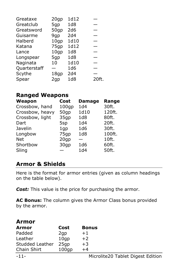| Greataxe     | 20gp | 1d12 |       |
|--------------|------|------|-------|
| Greatclub    | 5gp  | 1d8  |       |
| Greatsword   | 50gp | 2d6  |       |
| Guisarme     | 9gp  | 2d4  |       |
| Halberd      | 10qp | 1d10 |       |
| Katana       | 75gp | 1d12 |       |
| Lance        | 10qp | 1d8  |       |
| Longspear    | 5gp  | 1d8  |       |
| Naginata     | 10   | 1d10 |       |
| Quarterstaff |      | 1d6  |       |
| Scythe       | 18gp | 2d4  |       |
| Spear        | 2gp  | 1d8  | 20ft. |
|              |      |      |       |

#### **Ranged Weapons**

| Cost             | <b>Damage</b>   | Range  |
|------------------|-----------------|--------|
| 100qp            | 1 <sub>d4</sub> | 30ft.  |
| 50qp             | 1d10            | 120ft. |
| 35 <sub>gp</sub> | 1d8             | 80ft.  |
| 5sp              | 1 <sub>d4</sub> | 20ft.  |
| 1qp              | 1d6             | 30ft.  |
| 75gp             | 1d8             | 100ft. |
| 20gp             | —               | 10ft.  |
| 30gp             | 1d6             | 60ft.  |
|                  | 1d4             | 50ft.  |
|                  |                 |        |

## **Armor & Shields**

Here is the format for armor entries (given as column headings on the table below).

*Cost:* This value is the price for purchasing the armor.

**AC Bonus:** The column gives the Armor Class bonus provided by the armor.

| <b>Armor</b>    |       |                                   |
|-----------------|-------|-----------------------------------|
| <b>Armor</b>    | Cost  | <b>Bonus</b>                      |
| Padded          | 2qp   | $+1$                              |
| Leather         | 10qp  | $+2$                              |
| Studded Leather | 25qp  | $+3$                              |
| Chain Shirt     | 100qp | $^{+4}$                           |
| $-11-$          |       | Microlite20 Tablet Digest Edition |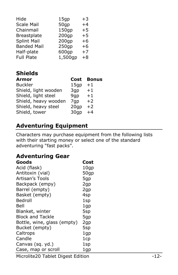| Hide               | 15qp    | $+3$ |
|--------------------|---------|------|
| <b>Scale Mail</b>  | 50qp    | $+4$ |
| Chainmail          | 150qp   | $+5$ |
| <b>Breastplate</b> | 200qp   | $+5$ |
| <b>Splint Mail</b> | 200qp   | $+6$ |
| <b>Banded Mail</b> | 250qp   | $+6$ |
| Half-plate         | 600qp   | $+7$ |
| <b>Full Plate</b>  | 1,500gp | $+8$ |
|                    |         |      |

## **Shields**

| <b>Armor</b>         | Cost             | <b>Bonus</b> |
|----------------------|------------------|--------------|
| <b>Buckler</b>       | 15 <sub>gp</sub> | $+1$         |
| Shield, light wooden | 3qp              | $+1$         |
| Shield, light steel  | 9qp              | $+1$         |
| Shield, heavy wooden | 7qp              | $+2$         |
| Shield, heavy steel  | 20qp             | $+2$         |
| Shield, tower        | 30gp             | $+4$         |

## **Adventuring Equipment**

Characters may purchase equipment from the following lists with their starting money or select one of the standard adventuring "fast packs".

#### **Adventuring Gear**

| Goods                       | Cost             |
|-----------------------------|------------------|
| Acid (flask)                | 10 <sub>gp</sub> |
| Antitoxin (vial)            | 50gp             |
| Artisan's Tools             | 5gp              |
| Backpack (empy)             | 2gp              |
| Barrel (empty)              | 2gp              |
| Basket (empty)              | 4sp              |
| Bedroll                     | 1sp              |
| Bell                        | 1qp              |
| Blanket, winter             | 5sp              |
| <b>Block and Tackle</b>     | 5gp              |
| Bottle, wine, glass (empty) | 2gp              |
| Bucket (empty)              | 5sp              |
| Caltrops                    | 1gp              |
| Candle                      | 1cp              |
| Canvas (sq. yd.)            | 1sp              |
| Case, map or scroll         | 1gp              |
|                             |                  |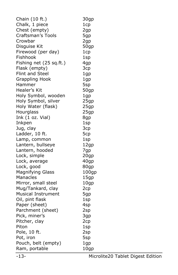| Chain (10 ft.)            | 30gp              |
|---------------------------|-------------------|
| Chalk, 1 piece            | 1cp               |
| Chest (empty)             | 2gp               |
| Craftsman's Tools         | 5gp               |
| Crowbar                   | 2gp               |
| Disguise Kit              | 50gp              |
| Firewood (per day)        | 1cp               |
| Fishhook                  | 1sp               |
| Fishing net (25 sq.ft.)   | 4gp               |
| Flask (empty)             | Зср               |
| Flint and Steel           | 1gp               |
| <b>Grappling Hook</b>     | 1gp               |
| Hammer                    | 5sp               |
| Healer's Kit              | 50gp              |
| Holy Symbol, wooden       | 1gp               |
| Holy Symbol, silver       | 25gp              |
| Holy Water (flask)        | 25gp              |
| Hourglass                 | 25gp              |
| Ink (1 oz. Vial)          | 8gp               |
| Inkpen                    | 1sp               |
| Jug, clay                 | Зср               |
| Ladder, 10 ft.            | 5cp               |
| Lamp, common              | 1sp               |
| Lantern, bullseye         | 12gp              |
| Lantern, hooded           | 7gp               |
| Lock, simple              | 20gp              |
| Lock, average             | 40gp              |
| Lock, good                | 80gp              |
| <b>Magnifying Glass</b>   | 100 <sub>gp</sub> |
| Manacles                  | 15 <sub>gp</sub>  |
| Mirror, small steel       | 10gp              |
| Mug/Tankard, clay         | 2cp               |
| <b>Musical Instrument</b> | 5gp               |
| Oil, pint flask           | 1sp               |
| Paper (sheet)             | 4sp               |
| Parchment (sheet)         | 2sp               |
| Pick, miner's             | 3gp               |
| Pitcher, clay<br>Piton    | 2cp               |
| Pole, 10 ft.              | 1sp<br>2sp        |
| Pot, iron                 | 5sp               |
| Pouch, belt (empty)       | 1gp               |
| Ram, portable             | 10gp              |
|                           |                   |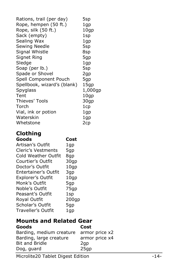| Rations, trail (per day)    | 5sp              |
|-----------------------------|------------------|
| Rope, hempen (50 ft.)       | 1gp              |
| Rope, silk (50 ft.)         | 10gp             |
| Sack (empty)                | 1sp              |
| Sealing Wax                 | 1gp              |
| Sewing Needle               | 5sp              |
| Signal Whistle              | 8sp              |
| Signet Ring                 | 5gp              |
| Sledge                      | 1gp              |
| Soap (per lb.)              | 5sp              |
| Spade or Shovel             | 2gp              |
| Spell Component Pouch       | 5gp              |
| Spellbook, wizard's (blank) | 15 <sub>gp</sub> |
| Spyglass                    | $1,000$ gp       |
| Tent                        | 10gp             |
| Thieves' Tools              | 30gp             |
| Torch                       | 1cp              |
| Vial, ink or potion         | 1gp              |
| Waterskin                   | 1gp              |
| Whetstone                   | 2cp              |

#### **Clothing Goods Cost**

| Artisan's Outfit            | 1gp   |
|-----------------------------|-------|
| <b>Cleric's Vestments</b>   | 5gp   |
| <b>Cold Weather Outfit</b>  | 8gp   |
| Courtier's Outfit           | 30gp  |
| Doctor's Outfit             | 10qp  |
| <b>Entertainer's Outfit</b> | 3gp   |
| Explorer's Outfit           | 10qp  |
| Monk's Outfit               | 5gp   |
| Noble's Outfit              | 75gp  |
| Peasant's Outfit            | 1sp   |
| Royal Outfit                | 200qp |
| Scholar's Outfit            | 5gp   |
| Traveller's Outfit          | 1gp   |
|                             |       |

#### **Mounts and Related Gear**

#### **Goods Cost** Barding, medium creature armor price x2 Barding, large creature armor price x4 Bit and Bridle 2gp Dog, guard 25gp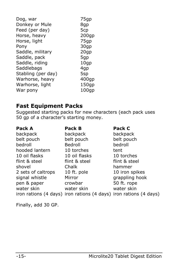| Dog, war           | 75gp  |
|--------------------|-------|
| Donkey or Mule     | 8gp   |
| Feed (per day)     | 5cp   |
| Horse, heavy       | 200qp |
| Horse, light       | 75gp  |
| Pony               | 30gp  |
| Saddle, military   | 20gp  |
| Saddle, pack       | 5gp   |
| Saddle, riding     | 10gp  |
| Saddlebags         | 4gp   |
| Stabling (per day) | 5sp   |
| Warhorse, heavy    | 400gp |
| Warhorse, light    | 150qp |
| War pony           | 100qp |

#### **Fast Equipment Packs**

Suggested starting packs for new characters (each pack uses 50 gp of a character's starting money.

| Pack A             | Pack B        | Pack C                                                            |
|--------------------|---------------|-------------------------------------------------------------------|
| backpack           | backpack      | backpack                                                          |
| belt pouch         | belt pouch    | belt pouch                                                        |
| bedroll            | Bedroll       | bedroll                                                           |
| hooded lantern     | 10 torches    | tent                                                              |
| 10 oil flasks      | 10 oil flasks | 10 torches                                                        |
| flint & steel      | flint & steel | flint & steel                                                     |
| shovel             | Chalk         | hammer                                                            |
| 2 sets of caltrops | 10 ft. pole   | 10 iron spikes                                                    |
| signal whistle     | Mirror        | grappling hook                                                    |
| pen & paper        | crowbar       | 50 ft. rope                                                       |
| water skin         | water skin    | water skin                                                        |
|                    |               | iron rations (4 days) iron rations (4 days) iron rations (4 days) |

Finally, add 30 GP.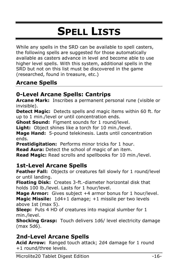# **SPELL LISTS**

While any spells in the SRD can be available to spell casters, the following spells are suggested for those automatically available as casters advance in level and become able to use higher level spells. With this system, additional spells in the SRD but not on this list must be discovered in the game (researched, found in treasure, etc.)

## **Arcane Spells**

#### **0-Level Arcane Spells: Cantrips**

**Arcane Mark:** Inscribes a permanent personal rune (visible or invisible).

**Detect Magic:** Detects spells and magic items within 60 ft. for up to 1 min./level or until concentration ends.

**Ghost Sound:** Figment sounds for 1 round/level.

**Light:** Object shines like a torch for 10 min./level.

**Mage Hand:** 5-pound telekinesis. Lasts until concentration ends.

**Prestidigitation:** Performs minor tricks for 1 hour.

**Read Aura:** Detect the school of magic of an item.

**Read Magic:** Read scrolls and spellbooks for 10 min./level.

#### **1st-Level Arcane Spells**

Feather Fall: Objects or creatures fall slowly for 1 round/level or until landing.

**Floating Disk:** Creates 3-ft.-diameter horizontal disk that holds 100 lb./level. Lasts for 1 hour/level.

**Mage Armor:** Gives subject +4 armor bonus for 1 hour/level. **Magic Missile:** 1d4+1 damage; +1 missile per two levels above 1st (max 5).

**Sleep:** Puts 4 HD of creatures into magical slumber for 1 min./level.

**Shocking Grasp:** Touch delivers 1d6/ level electricity damage (max 5d6).

## **2nd-Level Arcane Spells**

**Acid Arrow:** Ranged touch attack; 2d4 damage for 1 round +1 round/three levels.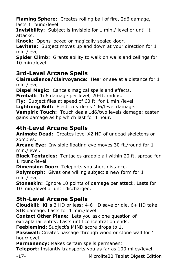**Flaming Sphere:** Creates rolling ball of fire, 2d6 damage, lasts 1 round/level.

**Invisibility:** Subject is invisible for 1 min./ level or until it attacks.

**Knock:** Opens locked or magically sealed door.

**Levitate:** Subject moves up and down at your direction for 1 min./level.

**Spider Climb:** Grants ability to walk on walls and ceilings for 10 min./level.

## **3rd-Level Arcane Spells**

**Clairaudience/Clairvoyance:** Hear or see at a distance for 1 min./level.

**Dispel Magic:** Cancels magical spells and effects.

**Fireball:** 1d6 damage per level, 20-ft. radius.

**Fly:** Subject flies at speed of 60 ft. for 1 min./level.

**Lightning Bolt:** Electricity deals 1d6/level damage.

**Vampiric Touch:** Touch deals 1d6/two levels damage; caster gains damage as hp which last for 1 hour.

#### **4th-Level Arcane Spells**

**Animate Dead:** Creates level X2 HD of undead skeletons or zombies.

**Arcane Eye:** Invisible floating eye moves 30 ft./round for 1 min./level.

**Black Tentacles:** Tentacles grapple all within 20 ft. spread for 1 round/level.

**Dimension Door:** Teleports you short distance.

**Polymorph:** Gives one willing subject a new form for 1 min./level.

**Stoneskin:** Ignore 10 points of damage per attack. Lasts for 10 min./level or until discharged.

## **5th-Level Arcane Spells**

**Cloudkill:** Kills 3 HD or less; 4-6 HD save or die, 6+ HD take STR damage. Lasts for 1 min./level.

**Contact Other Plane:** Lets you ask one question of extraplanar entity. Lasts until concentration ends.

**Feeblemind:** Subject's MIND score drops to 1.

**Passwall:** Creates passage through wood or stone wall for 1 hour/level.

**Permanency:** Makes certain spells permanent.

**Teleport:** Instantly transports you as far as 100 miles/level.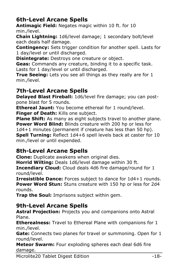## **6th-Level Arcane Spells**

**Antimagic Field:** Negates magic within 10 ft. for 10 min./level.

**Chain Lightning:** 1d6/level damage; 1 secondary bolt/level each deals half damage.

**Contingency:** Sets trigger condition for another spell. Lasts for 1 day/level or until discharged.

**Disintegrate:** Destroys one creature or object.

**Geas:** Commands any creature, binding it to a specific task. Lasts for 1 day/level or until discharged.

**True Seeing:** Lets you see all things as they really are for 1 min./level.

#### **7th-Level Arcane Spells**

**Delayed Blast Fireball:** 1d6/level fire damage; you can postpone blast for 5 rounds.

**Ethereal Jaunt:** You become ethereal for 1 round/level. **Finger of Death:** Kills one subject.

**Plane Shift:** As many as eight subjects travel to another plane. **Power Word Blind:** Blinds creature with 200 hp or less for 1d4+1 minutes (permanent if creature has less than 50 hp). **Spell Turning:** Reflect 1d4+6 spell levels back at caster for 10 min./level or until expended.

#### **8th-Level Arcane Spells**

**Clone:** Duplicate awakens when original dies.

**Horrid Wilting:** Deals 1d6/level damage within 30 ft.

**Incendiary Cloud:** Cloud deals 4d6 fire damage/round for 1 round/level.

**Irresistible Dance:** Forces subject to dance for 1d4+1 rounds. **Power Word Stun:** Stuns creature with 150 hp or less for 2d4 rounds.

**Trap the Soul:** Imprisons subject within gem.

#### **9th-Level Arcane Spells**

**Astral Projection:** Projects you and companions onto Astral Plane.

**Etherealness:** Travel to Ethereal Plane with companions for 1 min./level.

**Gate:** Connects two planes for travel or summoning. Open for 1 round/level.

**Meteor Swarm:** Four exploding spheres each deal 6d6 fire damage.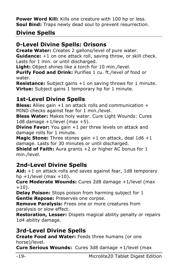**Power Word Kill:** Kills one creature with 100 hp or less. **Soul Bind:** Traps newly dead soul to prevent resurrection.

## **Divine Spells**

## **0-Level Divine Spells: Orisons**

**Create Water:** Creates 2 gallons/level of pure water. **Guidance:** +1 on one attack roll, saving throw, or skill check. Lasts for 1 min. or until discharged.

**Light:** Object shines like a torch for 10 min./level.

**Purify Food and Drink: Purifies 1 cu. ft./level of food or** water.

**Resistance:** Subject gains +1 on saving throws for 1 minute. **Virtue:** Subject gains 1 temporary hp for 1 minute.

## **1st-Level Divine Spells**

**Bless:** Allies gain +1 on attack rolls and communication + MIND checks against fear for 1 min./level.

**Bless Water:** Makes holy water. Cure Light Wounds: Cures 1d8 damage  $+1$ /level (max  $+5$ ).

**Divine Favor:** You gain +1 per three levels on attack and damage rolls for 1 minute.

**Magic Stone:** Three stones gain +1 on attack, deal 1d6 +1 damage. Lasts for 30 minutes or until discharged.

**Shield of Faith:** Aura grants +2 or higher AC bonus for 1 min./level.

## **2nd-Level Divine Spells**

**Aid:** +1 on attack rolls and saves against fear, 1d8 temporary hp  $+1$ /level (max  $+10$ ).

**Cure Moderate Wounds:** Cures 2d8 damage +1/level (max +10).

**Delay Poison:** Stops poison from harming subject for 1 **Gentle Repose:** Preserves one corpse.

**Remove Paralysis:** Frees one or more creatures from paralysis or slow effect.

**Restoration, Lesser:** Dispels magical ability penalty or repairs 1d4 ability damage.

## **3rd-Level Divine Spells**

**Create Food and Water:** Feeds three humans (or one horse)/level.

**Cure Serious Wounds:** Cures 3d8 damage +1/level (max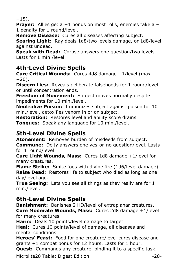$+15$ ).

**Prayer:** Allies get a +1 bonus on most rolls, enemies take a -1 penalty for 1 round/level.

**Remove Disease:** Cures all diseases affecting subject.

**Searing Light:** Ray deals 1d8/two levels damage, or 1d8/level against undead.

**Speak with Dead:** Corpse answers one question/two levels. Lasts for 1 min./level.

## **4th-Level Divine Spells**

**Cure Critical Wounds:** Cures 4d8 damage +1/level (max  $+20$ ).

**Discern Lies:** Reveals deliberate falsehoods for 1 round/level or until concentration ends.

**Freedom of Movement:** Subject moves normally despite impediments for 10 min./level.

**Neutralize Poison:** Immunizes subject against poison for 10 min./level, detoxifies venom in or on subject.

**Restoration:** Restores level and ability score drains.

**Tongues:** Speak any language for 10 min./level.

## **5th-Level Divine Spells**

**Atonement:** Removes burden of misdeeds from subject.

**Commune:** Deity answers one yes-or-no question/level. Lasts for 1 round/level

**Cure Light Wounds, Mass:** Cures 1d8 damage +1/level for many creatures.

**Flame Strike:** Smite foes with divine fire (1d6/level damage). **Raise Dead:** Restores life to subject who died as long as one day/level ago.

**True Seeing:** Lets you see all things as they really are for 1 min./level.

## **6th-Level Divine Spells**

**Banishment:** Banishes 2 HD/level of extraplanar creatures. **Cure Moderate Wounds, Mass:** Cures 2d8 damage +1/level for many creatures.

**Harm:** Deals 10 points/level damage to target.

**Heal:** Cures 10 points/level of damage, all diseases and mental conditions.

**Heroes' Feast:** Food for one creature/level cures disease and grants +1 combat bonus for 12 hours. Lasts for 1 hour.

**Quest:** Commands any creature, binding it to a specific task.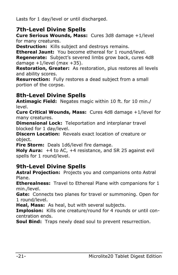Lasts for 1 day/level or until discharged.

## **7th-Level Divine Spells**

**Cure Serious Wounds, Mass:** Cures 3d8 damage +1/level for many creatures.

**Destruction:** Kills subject and destroys remains.

**Ethereal Jaunt:** You become ethereal for 1 round/level. **Regenerate:** Subject's severed limbs grow back, cures 4d8 damage  $+1$ /level (max  $+35$ ).

**Restoration, Greater:** As restoration, plus restores all levels and ability scores.

**Resurrection:** Fully restores a dead subject from a small portion of the corpse.

#### **8th-Level Divine Spells**

**Antimagic Field:** Negates magic within 10 ft. for 10 min./ level.

**Cure Critical Wounds, Mass:** Cures 4d8 damage +1/level for many creatures.

**Dimensional Lock:** Teleportation and interplanar travel blocked for 1 day/level.

**Discern Location:** Reveals exact location of creature or object.

**Fire Storm:** Deals 1d6/level fire damage.

**Holy Aura:** +4 to AC, +4 resistance, and SR 25 against evil spells for 1 round/level.

## **9th-Level Divine Spells**

**Astral Projection:** Projects you and companions onto Astral Plane.

**Etherealness:** Travel to Ethereal Plane with companions for 1 min./level.

**Gate:** Connects two planes for travel or summoning. Open for 1 round/level.

**Heal, Mass:** As heal, but with several subjects.

**Implosion:** Kills one creature/round for 4 rounds or until concentration ends.

**Soul Bind:** Traps newly dead soul to prevent resurrection.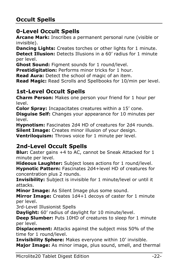#### **0-Level Occult Spells**

**Arcane Mark:** Inscribes a permanent personal rune (visible or invisible).

**Dancing Lights:** Creates torches or other lights for 1 minute. **Detect Illusion:** Detects Illusions in a 60' radius for 1 minute per level.

**Ghost Sound:** Figment sounds for 1 round/level.

**Prestidigitation:** Performs minor tricks for 1 hour.

**Read Aura:** Detect the school of magic of an item.

**Read Magic:** Read Scrolls and Spellbooks for 10/min per level.

#### **1st-Level Occult Spells**

**Charm Person:** Makes one person your friend for 1 hour per level.

**Color Spray:** Incapacitates creatures within a 15' cone.

**Disguise Self:** Changes your appearance for 10 minutes per level.

**Hypnotism:** Fascinates 2d4 HD of creatures for 2d4 rounds. **Silent Image:** Creates minor illusion of your design.

**Ventriloquism:** Throws voice for 1 minute per level.

## **2nd-Level Occult Spells**

**Blur:** Caster gains +4 to AC, cannot be Sneak Attacked for 1 minute per level.

**Hideous Laughter:** Subject loses actions for 1 round/level. **Hypnotic Pattern:** Fascinates 2d4+level HD of creatures for concentration plus 2 rounds.

**Invisibility:** Subject is invisible for 1 minute/level or until it attacks.

**Minor Image:** As Silent Image plus some sound.

**Mirror Image:** Creates 1d4+1 decoys of caster for 1 minute per level.

3rd-Level Illusionist Spells

**Daylight:** 60' radius of daylight for 10 minute/level.

**Deep Slumber:** Puts 10HD of creatures to sleep for 1 minute per level.

**Displacement:** Attacks against the subject miss 50% of the time for 1 round/level.

**Invisibility Sphere:** Makes everyone within 10' invisible. **Major Image:** As minor image, plus sound, smell, and thermal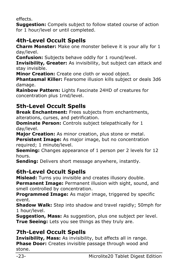effects.

**Suggestion:** Compels subject to follow stated course of action for 1 hour/level or until completed.

## **4th-Level Occult Spells**

**Charm Monster:** Make one monster believe it is your ally for 1 day/level.

**Confusion:** Subjects behave oddly for 1 round/level.

**Invisibility, Greater:** As invisibility, but subject can attack and stay invisible.

**Minor Creation:** Create one cloth or wood object.

**Phantasmal Killer:** Fearsome illusion kills subject or deals 3d6 damage.

**Rainbow Pattern:** Lights Fascinate 24HD of creatures for concentration plus 1rnd/level.

## **5th-Level Occult Spells**

**Break Enchantment:** Frees subjects from enchantments, alterations, curses, and petrification.

**Dominate Person:** Controls subject telepathically for 1 day/level.

**Major Creation:** As minor creation, plus stone or metal.

**Persistent Image:** As major image, but no concentration required; 1 minute/level.

**Seeming:** Changes appearance of 1 person per 2 levels for 12 hours.

**Sending:** Delivers short message anywhere, instantly.

## **6th-Level Occult Spells**

**Mislead:** Turns you invisible and creates illusory double.

**Permanent Image:** Permanent illusion with sight, sound, and smell controlled by concentration.

**Programmed Image:** As major image, triggered by specific event.

**Shadow Walk:** Step into shadow and travel rapidly; 50mph for 1 hour/level.

**Suggestion, Mass:** As suggestion, plus one subject per level. **True Seeing:** Lets you see things as they truly are.

## **7th-Level Occult Spells**

**Invisibility, Mass:** As invisibility, but affects all in range. **Phase Door:** Creates invisible passage through wood and stone.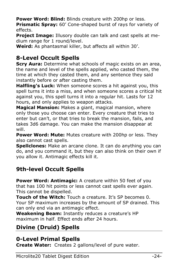**Power Word: Blind:** Blinds creature with 200hp or less.

**Prismatic Spray:** 60' Cone-shaped burst of rays for variety of effects.

**Project Image:** Illusory double can talk and cast spells at medium range for 1 round/level.

**Weird:** As phantasmal killer, but affects all within 30'.

## **8-Level Occult Spells**

**Scry Aura:** Determine what schools of magic exists on an area, the name and level of the spells applied, who casted them, the time at which they casted them, and any sentence they said instantly before or after casting them.

**Halfling's Luck:** When someone scores a hit against you, this spell turns it into a miss, and when someone scores a critical hit against you, this spell turns it into a regular hit. Lasts for 12 hours, and only applies to weapon attacks.

**Magical Mansion:** Makes a giant, magical mansion, where only those you choose can enter. Every creature that tries to enter but can't, or that tries to break the mansion, fails, and takes 3d6 damage. You can make the mansion disappear at will.

**Power Word: Mute:** Mutes creature with 200hp or less. They also cannot cast spells.

**Spellclones:** Make an arcane clone. It can do anything you can do, and you command it, but they can also think on their own if you allow it. Antimagic effects kill it.

## **9th-level Occult Spells**

**Power Word: Antimagic:** A creature within 50 feet of you that has 100 hit points or less cannot cast spells ever again. This cannot be dispelled.

**Touch of the Witch:** Touch a creature. It's SP becomes 0. Your SP maximum increases by the amount of SP drained. This can only end via an antimagic effect.

**Weakening Beam:** Instantly reduces a creature's HP maximum in half. Effect ends after 24 hours.

## **Divine (Druid) Spells**

## **0-Level Primal Spells**

**Create Water:** Creates 2 gallons/level of pure water.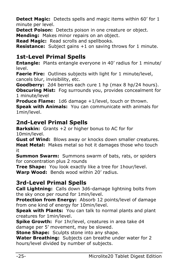**Detect Magic:** Detects spells and magic items within 60' for 1 minute per level.

**Detect Poison:** Detects poison in one creature or object.

**Mending:** Makes minor repairs on an object.

**Read Magic:** Read scrolls and spellbooks.

**Resistance:** Subject gains +1 on saving throws for 1 minute.

#### **1st-Level Primal Spells**

**Entangle:** Plants entangle everyone in 40' radius for 1 minute/ level.

**Faerie Fire:** Outlines subjects with light for 1 minute/level, cancels blur, invisibility, etc.

**Goodberry:** 2d4 berries each cure 1 hp (max 8 hp/24 hours). **Obscuring Mist:** Fog surrounds you, provides concealment for 1 minute/level

**Produce Flame:** 1d6 damage +1/level, touch or thrown. **Speak with Animals:** You can communicate with animals for 1min/level.

## **2nd-Level Primal Spells**

**Barkskin:** Grants +2 or higher bonus to AC for for 10min/level.

**Gust of Wind:** Blows away or knocks down smaller creatures. **Heat Metal:** Makes metal so hot it damages those who touch it

**Summon Swarm:** Summons swarm of bats, rats, or spiders for concentration plus 2 rounds

**Tree Shape:** You look exactly like a tree for 1hour/level. **Warp Wood:** Bends wood within 20' radius.

## **3rd-Level Primal Spells**

**Call Lightning:** Calls down 3d6-damage lightning bolts from the sky once per round for 1min/level.

**Protection from Energy:** Absorb 12 points/level of damage from one kind of energy for 10min/level.

**Speak with Plants:** You can talk to normal plants and plant creatures for 1min/level.

**Spike Growth:** For 1hr/level, creatures in area take d4 damage per 5' movement, may be slowed.

**Stone Shape:** Sculpts stone into any shape.

**Water Breathing:** Subjects can breathe under water for 2 hours/level divided by number of subjects.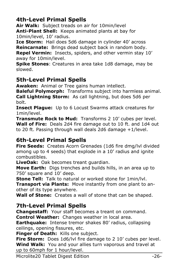## **4th-Level Primal Spells**

**Air Walk:** Subject treads on air for 10min/level **Anti-Plant Shell:** Keeps animated plants at bay for 10min/level, 10' radius.

**Ice Storm:** Hail does 5d6 damage in cylinder 40' across **Reincarnate:** Brings dead subject back in random body. **Repel Vermin:** Insects, spiders, and other vermin stay 10' away for 10min/level.

**Spike Stones**: Creatures in area take 1d8 damage, may be slowed.

#### **5th-Level Primal Spells**

**Awaken:** Animal or Tree gains human intellect.

**Baleful Polymorph:** Transforms subject into harmless animal. **Call Lightning Storm:** As call lightning, but does 5d6 per bolt.

**Insect Plague:** Up to 6 Locust Swarms attack creatures for 1min/level.

**Transmute Rock to Mud:** Transforms 2 10' cubes per level. **Wall of Fire:** Deals 2d4 fire damage out to 10 ft. and 1d4 out to 20 ft. Passing through wall deals 2d6 damage +1/level.

#### **6th-Level Primal Spells**

**Fire Seeds:** Creates Acorn Grenades (1d6 fire dmg/lvl divided among up to 4 seeds) that explode in a 10' radius and ignite combustibles.

**LiveOak:** Oak becomes treant guardian.

**Move Earth:** Digs trenches and builds hills, in an area up to 750' square and 10' deep.

**Stone Tell:** Talk to natural or worked stone for 1min/lvl.

**Transport via Plants:** Move instantly from one plant to another of its type anywhere.

**Wall of Stone:** Creates a wall of stone that can be shaped.

#### **7th-Level Primal Spells**

**Changestaff:** Your staff becomes a treant on command. **Control Weather:** Changes weather in local area.

**Earthquake:** Intense tremor shakes 80' radius, collapsing ceilings, opening fissures, etc.

**Finger of Death:** Kills one subject.

Fire Storm: Does 1d6/lvl fire damage to 2 10' cubes per level. **Wind Walk:** You and your allies turn vaporous and travel at up to 60mph for 1 hour/level.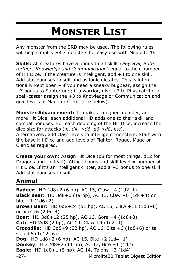# **MONSTER LIST**

Any monster from the SRD may be used. The following rules will help simplify SRD monsters for easy use with Microlite20.

**Skills:** All creatures have a bonus to all skills (*Physical, Subterfuge, Knowledge and Communication*) equal to their number of Hit Dice. If the creature is intelligent, add +3 to one skill. Add stat bonuses to suit and as logic dictates. This is intentionally kept open – if you need a sneaky bugbear, assign the +3 bonus to Subterfuge; if a warrior, give +3 to Physical; for a spell-caster assign the +3 to Knowledge or Communication and give levels of Mage or Cleric (see below).

**Monster Advancement:** To make a tougher monster, add more Hit Dice; each additional HD adds one to their skill and combat bonuses. For each doubling of the Hit Dice, increase the dice size for attacks (ie, *d4- >d6, d6->d8*, etc). Alternatively, add class levels to intelligent monsters. Start with the base Hit Dice and add levels of Fighter, Rogue, Mage or Cleric as required.

**Create your own:** Assign Hit Dice (d8 for most things, d12 for Dragons and Undead). Attack bonus and skill level  $=$  number of Hit Dice. If it's an intelligent critter, add  $a + 3$  bonus to one skill. Add stat bonuses to suit.

## **Animal**

-27- Microlite20 Tablet Digest Edition **Badger:** HD 1d8+2 (6 hp), AC 15, Claw +4 (1d2–1) **Black Bear:** HD 3d8+6 (19 hp), AC 13, Claw +6 (1d4+4) or  $bite +1 (1d6+2)$ **Brown Bear:** HD 6d8+24 (51 hp), AC 15, Claw +11 (1d8+8) or bite +6 (2d6+4) **Boar:** HD 3d8+12 (25 hp), AC 16, Gore +4 (1d8+3) **Cat:** HD ½d8 (2 hp), AC 14, Claw +4 (1d2–4) **Crocodile:** HD 3d8+9 (22 hp), AC 16, Bite +6 (1d8+6) or tail  $slap +6 (1d12+6)$ **Dog:** HD 1d8+2 (6 hp), AC 15, Bite +2 (1d4+1) **Donkey:** HD 2d8+2 (11 hp), AC 13, Bite +1 (1d2) **Eagle:** HD 1d8+1 (5 hp), AC 14, Talons +3 (1d4)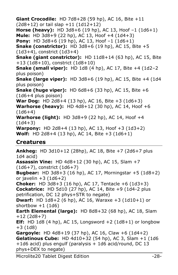**Giant Crocodile:** HD 7d8+28 (59 hp), AC 16, Bite +11 (2d8+12) or tail slap +11 (1d12+12) **Horse (heavy):** HD 3d8+6 (19 hp), AC 13, Hoof –1 (1d6+1) **Mule:** HD 3d8+9 (22 hp), AC 13, Hoof +4 (1d4+3) **Pony:** HD 3d8+6 (19 hp), AC 13, Hoof –1 (1d6+1) **Snake (constrictor):** HD 3d8+6 (19 hp), AC 15, Bite +5 (1d3+4), constrict (1d3+4) **Snake (giant constrictor):** HD 11d8+14 (63 hp), AC 15, Bite +13 (1d8+10), constrict (1d8+10) **Snake (small viper):** HD 1d8 (4 hp), AC 17, Bite +4 (1d2–2 plus poison) **Snake (large viper):** HD 3d8+6 (19 hp), AC 15, Bite +4 (1d4 plus poison) **Snake (huge viper):** HD 6d8+6 (33 hp), AC 15, Bite +6 (1d6+4 plus poison) **War Dog:** HD 2d8+4 (13 hp), AC 16, Bite +3 (1d6+3) **Warhorse (heavy):** HD 4d8+12 (30 hp), AC 14, Hoof +6  $(1d6+4)$ **Warhorse (light):** HD 3d8+9 (22 hp), AC 14, Hoof +4  $(1d4+3)$ **Warpony:** HD 2d8+4 (13 hp), AC 13, Hoof +3 (1d3+2) **Wolf:** HD 2d8+4 (13 hp), AC 14, Bite +3 (1d6+1)

## **Creatures**

**Ankheg:** HD 3d10+12 (28hp), AC 18, Bite +7 (2d6+7 plus 1d4 acid) **Assassin Vine:** HD 4d8+12 (30 hp), AC 15, Slam +7 (1d6+7), constrict (1d6+7) **Bugbear:** HD 3d8+3 (16 hp), AC 17, Morningstar +5 (1d8+2) or javelin  $+3$  (1d6+2) **Choker:** HD 3d8+3 (16 hp), AC 17, Tentacle +6 (1d3+3) **Cockatrice:** HD 5d10 (27 hp), AC 14, Bite +9 (1d4-2 plus petrification, DC 12 phys+STR to negate) **Dwarf:** HD 1d8+2 (6 hp), AC 16, Waraxe +3 (1d10+1) or shortbow  $+1$  (1d6) **Earth Elemental (large):** HD 8d8+32 (68 hp), AC 18, Slam +12 (2d8+7) **Elf:** HD 1d8 (4 hp), AC 15, Longsword +2 (1d8+1) or longbow +3 (1d8) **Gargoyle:** HD 4d8+19 (37 hp), AC 16, Claw +6 (1d4+2) **Gelatinous Cube:** HD 4d10+32 (54 hp), AC 3, Slam +1 (1d6 +1d6 acid) plus engulf (paralysis + 1d6 acid/round, DC 13 phys+DEX to negate)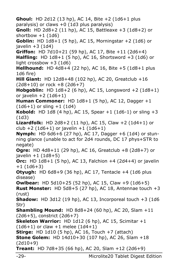-29- Microlite20 Tablet Digest Edition **Ghoul:** HD 2d12 (13 hp), AC 14, Bite +2 (1d6+1 plus paralysis) or claws +0 (1d3 plus paralysis) **Gnoll:** HD 2d8+2 (11 hp), AC 15, Battleaxe +3 (1d8+2) or shortbow  $+1$  (1d6) **Goblin:** HD 1d8+1 (5 hp), AC 15, Morningstar +2 (1d6) or  $i$ avelin  $+3$  (1d4) **Griffon:** HD 7d10+21 (59 hp), AC 17, Bite +11 (2d6+4) **Halfling:** HD 1d8+1 (5 hp), AC 16, Shortsword +3 (1d6) or light crossbow +3 (1d6) **Hellhound:** HD 4d8+4 (22 hp), AC 16, Bite +5 (1d8+1 plus 1d6 fire) **Hill Giant:** HD 12d8+48 (102 hp), AC 20, Greatclub +16 (2d8+10) or rock +8 (2d6+7) **Hobgoblin:** HD 1d8+2 (6 hp), AC 15, Longsword +2 (1d8+1) or javelin  $+2$  (1d6+1) **Human Commoner:** HD 1d8+1 (5 hp), AC 12, Dagger +1  $(1d6+1)$  or sling  $+1$   $(1d4)$ **Kobold:** HD 1d8 (4 hp), AC 15, Spear +1 (1d6-1) or sling +3 (1d3) **Lizardfolk:** HD 2d8+2 (11 hp), AC 15, Claw +2 (1d4+1) or  $club +2 (1d6+1)$  or javelin  $+1 (1d6+1)$ **Nymph:** HD 6d6+6 (27 hp), AC 17, Dagger +6 (1d4) or stunning glance (unable to act for 2d4 rounds, DC 17 phys+STR to negate) **Ogre:** HD 4d8+11 (29 hp), AC 16, Greatclub +8 (2d8+7) or  $i$ avelin  $+1$  (1d8+5) **Orc:** HD 1d8+1 (5 hp), AC 13, Falchion +4 (2d4+4) or javelin  $+1$  (1d6+3) **Otyugh:** HD 6d8+9 (36 hp), AC 17, Tentacle +4 (1d6 plus disease) **Owlbear:** HD 5d10+25 (52 hp), AC 15, Claw +9 (1d6+5) **Rust Monster:** HD 5d8+5 (27 hp), AC 18, Antennae touch +3 (rust) **Shadow:** HD 3d12 (19 hp), AC 13, Incorporeal touch +3 (1d6 Str) **Shambling Mound:** HD 8d8+24 (60 hp), AC 20, Slam +11 (2d6+5), constrict (2d6+7) **Skeleton Warrior:** HD 1d12 (6 hp), AC 15, Scimitar +1  $(1d6+1)$  or claw  $+1$  melee  $(1d4+1)$ **Stirge:** HD 1d10 (5 hp), AC 16, Touch +7 (attach) **Stone Golem:** HD 14d10+30 (107 hp), AC 26, Slam +18 (2d10+9) **Treant:** HD 7d8+35 (66 hp), AC 20, Slam +12 (2d6+9)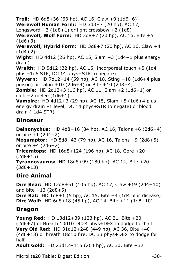**Troll:** HD 6d8+36 (63 hp), AC 16, Claw +9 (1d6+6) **Werewolf Human Form:** HD 3d8+7 (20 hp), AC 17, Longsword  $+3$  (1d8 $+1$ ) or light crossbow  $+2$  (1d8) **Werewolf, Wolf Form:** HD 3d8+7 (20 hp), AC 16, Bite +5  $(1d6+3)$ **Werewolf, Hybrid Form:** HD 3d8+7 (20 hp), AC 16, Claw +4  $(1d4+2)$ **Wight:** HD 4d12 (26 hp), AC 15, Slam +3 (1d4+1 plus energy drain) **Wraith:** HD 5d12 (32 hp), AC 15, Incorporeal touch +5 (1d4 plus –1d6 STR, DC 14 phys+STR to negate) **Wyvern:** HD 7d12+14 (59 hp), AC 18, Sting +10 (1d6+4 plus poison) or Talon  $+10$  (2d6+4) or Bite  $+10$  (2d8+4) **Zombie:** HD 2d12+3 (16 hp), AC 11, Slam +2 (1d6+1) or  $club +2$  melee  $(1d6+1)$ **Vampire:** HD 4d12+3 (29 hp), AC 15, Slam +5 (1d6+4 plus energy drain –1 level, DC 14 phys+STR to negate) or blood drain (-1d4 STR)

#### **Dinosaur**

**Deinonychus:** HD 4d8+16 (34 hp), AC 16, Talons +6 (2d6+4) or bite +1 (2d4+2)

**Megaraptor:** HD 8d8+43 (79 hp), AC 16, Talons +9 (2d8+5) or bite +4 (2d6+2)

**Triceratops:** HD 16d8+124 (196 hp), AC 18, Gore +20 (2d8+15)

**Tyrannosaurus:** HD 18d8+99 (180 hp), AC 14, Bite +20 (3d6+13)

## **Dire Animal**

**Dire Bear:** HD 12d8+51 (105 hp), AC 17, Claw +19 (2d4+10) and bite  $+13$  (2d8+5) **Dire Rat:** HD 1d8+1 (5 hp), AC 15, Bite +4 (1d4 plus disease) **Dire Wolf:** HD 6d8+18 (45 hp), AC 14, Bite +11 (1d8+10)

## **Dragon**

**Young Red:** HD 13d12+39 (123 hp), AC 21, Bite +20 (2d6+7) or Breath 10d10 DC24 phys+DEX to dodge for half **Very Old Red:** HD 31d12+248 (449 hp), AC 36, Bite +40 (4d6+13) or breath 18d10 fire, DC 33 phys+DEX to dodge for half

**Adult Gold:** HD 23d12+115 (264 hp), AC 30, Bite +32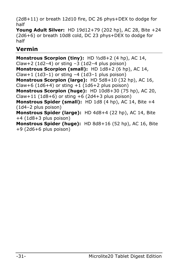(2d8+11) or breath 12d10 fire, DC 26 phys+DEX to dodge for half

**Young Adult Silver:** HD 19d12+79 (202 hp), AC 28, Bite +24 (2d6+6) or breath 10d8 cold, DC 23 phys+DEX to dodge for half

## **Vermin**

**Monstrous Scorpion (tiny):** HD ½d8+2 (4 hp), AC 14, Claw+2 (1d2-4) or sting  $-3$  (1d2-4 plus poison) **Monstrous Scorpion (small):** HD 1d8+2 (6 hp), AC 14, Claw+1 (1d3-1) or sting  $-4$  (1d3-1 plus poison) **Monstrous Scorpion (large):** HD 5d8+10 (32 hp), AC 16,  $Claw+6$  (1d6+4) or sting  $+1$  (1d6+2 plus poison) **Monstrous Scorpion (huge):** HD 10d8+30 (75 hp), AC 20,  $Claw+11$  (1d8+6) or sting  $+6$  (2d4+3 plus poison) **Monstrous Spider (small):** HD 1d8 (4 hp), AC 14, Bite +4 (1d4–2 plus poison) **Monstrous Spider (large):** HD 4d8+4 (22 hp), AC 14, Bite +4 (1d8+3 plus poison) **Monstrous Spider (huge):** HD 8d8+16 (52 hp), AC 16, Bite +9 (2d6+6 plus poison)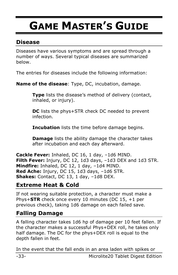# **GAME MASTER'S GUIDE**

## **Disease**

Diseases have various symptoms and are spread through a number of ways. Several typical diseases are summarized below.

The entries for diseases include the following information:

**Name of the disease**: Type, DC, incubation, damage.

**Type** lists the disease's method of delivery (contact, inhaled, or injury).

**DC** lists the phys+STR check DC needed to prevent infection.

**Incubation** lists the time before damage begins.

**Damage** lists the ability damage the character takes after incubation and each day afterward.

**Cackle Fever:** Inhaled, DC 16, 1 day, –1d6 MIND. **Filth Fever:** Injury, DC 12, 1d3 days, –1d3 DEX and 1d3 STR. **Mindfire:** Inhaled, DC 12, 1 day, –1d4 MIND. **Red Ache:** Injury, DC 15, 1d3 days, –1d6 STR. **Shakes:** Contact, DC 13, 1 day, –1d8 DEX.

# **Extreme Heat & Cold**

If not wearing suitable protection, a character must make a Phys+**STR** check once every 10 minutes (DC 15, +1 per previous check), taking 1d6 damage on each failed save.

# **Falling Damage**

A falling character takes 1d6 hp of damage per 10 feet fallen. If the character makes a successful Phys+DEX roll, he takes only half damage. The DC for the phys+DEX roll is equal to the depth fallen in feet.

In the event that the fall ends in an area laden with spikes or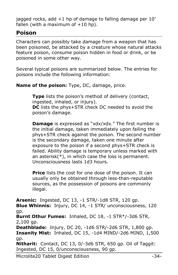jagged rocks, add +1 hp of damage to falling damage per 10' fallen (with a maximum of  $+10$  hp).

### **Poison**

Characters can possibly take damage from a weapon that has been poisoned, be attacked by a creature whose natural attacks feature poison, consume poison hidden in food or drink, or be poisoned in some other way.

Several typical poisons are summarized below. The entries for poisons include the following information:

**Name of the poison:** Type, DC, damage, price.

**Type** lists the poison's method of delivery (contact, ingested, inhaled, or injury). **DC** lists the phys+STR check DC needed to avoid the poison's damage.

**Damage** is expressed as "xdx/xdx." The first number is the initial damage, taken immediately upon failing the phys+STR check against the poison. The second number is the secondary damage, taken one minute after exposure to the poison if a second phys+STR check is failed. Ability damage is temporary unless marked with an asterisk(\*), in which case the loss is permanent. Unconsciousness lasts 1d3 hours.

**Price** lists the cost for one dose of the poison. It can usually only be obtained through less-than-reputable sources, as the possession of poisons are commonly illegal.

**Arsenic:** Ingested, DC 13, -1 STR/-1d8 STR, 120 gp. **Blue Whinnis:** Injury, DC 14, -1 STR/ unconsciousness, 120 gp. **Burnt Othur Fumes:** Inhaled, DC 18, -1 STR\*/-3d6 STR,

2,100 gp.

**Deathblade:** Injury, DC 20, -1d6 STR/-2d6 STR, 1,800 gp. **Insanity Mist:** Inhaled, DC 15, -1d4 MIND/-2d6 MIND, 1,500 gp.

**Nitharit:** Contact, DC 13, 0/-3d6 STR, 650 gp. Oil of Taggit: Ingested, DC 15, 0/unconsciousness, 90 gp.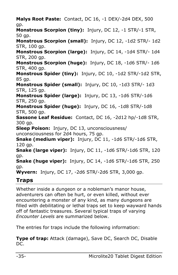**Malys Root Paste:** Contact, DC 16, -1 DEX/-2d4 DEX, 500 gp. **Monstrous Scorpion (tiny):** Injury, DC 12, -1 STR/-1 STR, 50 gp. **Monstrous Scorpion (small):** Injury, DC 12, -1d2 STR/- 1d2 STR, 100 gp. **Monstrous Scorpion (large):** Injury, DC 14, -1d4 STR/- 1d4 STR, 200 gp. **Monstrous Scorpion (huge):** Injury, DC 18, -1d6 STR/- 1d6 STR, 400 gp. **Monstrous Spider (tiny):** Injury, DC 10, -1d2 STR/-1d2 STR, 85 gp. **Monstrous Spider (small):** Injury, DC 10, -1d3 STR/- 1d3 STR, 125 gp. **Monstrous Spider (large):** Injury, DC 13, -1d6 STR/-1d6 STR, 250 gp. **Monstrous Spider (huge):** Injury, DC 16, -1d8 STR/-1d8 STR, 500 gp. **Sassone Leaf Residue:** Contact, DC 16, -2d12 hp/-1d8 STR, 300 gp. **Sleep Poison:** Injury, DC 13, unconsciousness/ unconsciousness for 2d4 hours, 75 gp. **Snake (medium viper):** Injury, DC 11, -1d6 STR/-1d6 STR, 120 gp. **Snake (large viper):** Injury, DC 11, -1d6 STR/-1d6 STR, 120 gp. **Snake (huge viper):** Injury, DC 14, -1d6 STR/-1d6 STR, 250 gp. **Wyvern:** Injury, DC 17, -2d6 STR/-2d6 STR, 3,000 gp. **Traps**

Whether inside a dungeon or a nobleman's manor house, adventurers can often be hurt, or even killed, without ever encountering a monster of any kind, as many dungeons are filled with debilitating or lethal traps set to keep wayward hands off of fantastic treasures. Several typical traps of varying *Encounter Levels* are summarized below.

The entries for traps include the following information:

**Type of trap:** Attack (damage), Save DC, Search DC, Disable DC.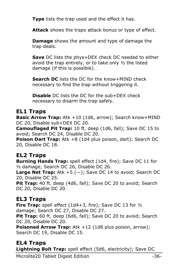**Type** lists the trap used and the effect it has.

**Attack** shows the traps attack bonus or type of effect.

**Damage** shows the amount and type of damage the trap deals.

**Save** DC lists the phys+DEX check DC needed to either avoid the trap entirely, or to take only ½ the listed damage (if this is possible).

**Search DC** lists the DC for the know+MIND check necessary to find the trap without triggering it.

**Disable** DC lists the DC for the sub+DEX check necessary to disarm the trap safely.

### **EL1 Traps**

**Basic Arrow Trap:** Atk +10 (1d6, arrow); Search know+MIND DC 20, Disable sub+DEX DC 20.

**Camouflaged Pit Trap:** 10 ft. deep (1d6, fall); Save DC 15 to avoid; Search DC 24, Disable DC 20.

**Poison Dart Trap:** Atk +8 (1d4 plus poison, dart); Search DC 20, Disable DC 18.

### **EL2 Traps**

**Burning Hands Trap:** spell effect (1d4, fire); Save DC 11 for ½ damage; Search DC 26, Disable DC 26.

**Large Net Trap:** Atk +5 (—); Save DC 14 to avoid; Search DC 20, Disable DC 25.

Pit Trap: 40 ft. deep (4d6, fall); Save DC 20 to avoid; Search DC 20, Disable DC 20.

### **EL3 Traps**

**Fire Trap:** spell effect (1d4+3, fire); Save DC 13 for 1/2 damage; Search DC 27, Disable DC 27.

Pit Trap: 60 ft. deep (6d6, fall); Save DC 20 to avoid; Search DC 20, Disable DC 20.

**Poisoned Arrow Trap:** Atk +12 (1d8 plus poison, arrow); Search DC 19, Disable DC 15.

### **EL4 Traps**

**Lightning Bolt Trap:** spell effect (5d6, electricity); Save DC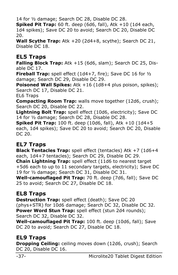14 for ½ damage; Search DC 28, Disable DC 28.

**Spiked Pit Trap:** 60 ft. deep (6d6, fall), Atk +10 (1d4 each, 1d4 spikes); Save DC 20 to avoid; Search DC 20, Disable DC 20.

**Wall Scythe Trap:** Atk +20 (2d4+8, scythe); Search DC 21, Disable DC 18.

## **EL5 Traps**

**Falling Block Trap:** Atk +15 (6d6, slam); Search DC 25, Disable DC 17.

**Fireball Trap:** spell effect (1d4+7, fire); Save DC 16 for ½ damage; Search DC 29, Disable DC 29.

**Poisoned Wall Spikes:** Atk +16 (1d8+4 plus poison, spikes); Search DC 17, Disable DC 21.

EL6 Traps

**Compacting Room Trap:** walls move together (12d6, crush); Search DC 20, Disable DC 22.

**Lightning Bolt Trap:** spell effect (10d6, electricity); Save DC 14 for ½ damage; Search DC 28, Disable DC 28.

**Spiked Pit Trap:** 100 ft. deep (10d6, fall), Atk +10 (1d4+5 each, 1d4 spikes); Save DC 20 to avoid; Search DC 20, Disable DC 20.

## **EL7 Traps**

**Black Tentacles Trap:** spell effect (tentacles) Atk +7 (1d6+4 each, 1d4+7 tentacles); Search DC 29, Disable DC 29.

**Chain Lightning Trap:** spell effect (11d6 to nearest target +5d6 each to up to 11 secondary targets, electricity); Save DC 19 for ½ damage; Search DC 31, Disable DC 31.

**Well-camouflaged Pit Trap:** 70 ft. deep (7d6, fall); Save DC 25 to avoid; Search DC 27, Disable DC 18.

# **EL8 Traps**

**Destruction Trap:** spell effect (death); Save DC 20 (phys+STR) for 10d6 damage; Search DC 32, Disable DC 32. **Power Word Stun Trap:** spell effect (stun 2d4 rounds); Search DC 32, Disable DC 32.

**Well-camouflaged Pit Trap:** 100 ft. deep (10d6, fall); Save DC 20 to avoid; Search DC 27, Disable DC 18.

## **EL9 Traps**

**Dropping Ceiling:** ceiling moves down (12d6, crush); Search DC 20, Disable DC 16.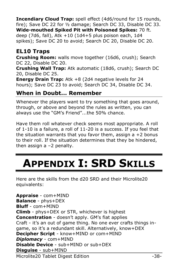**Incendiary Cloud Trap:** spell effect (4d6/round for 15 rounds, fire); Save DC 22 for ½ damage; Search DC 33, Disable DC 33. **Wide-mouthed Spiked Pit with Poisoned Spikes:** 70 ft. deep (7d6, fall), Atk  $+10$  (1d4+5 plus poison each, 1d4 spikes); Save DC 20 to avoid; Search DC 20, Disable DC 20.

## **EL10 Traps**

**Crushing Room:** walls move together (16d6, crush); Search DC 22, Disable DC 20.

**Crushing Wall Trap:** Atk automatic (18d6, crush); Search DC 20, Disable DC 25.

**Energy Drain Trap:** Atk +8 (2d4 negative levels for 24 hours); Save DC 23 to avoid; Search DC 34, Disable DC 34.

### **When in Doubt... Remember**

Whenever the players want to try something that goes around, through, or above and beyond the rules as written, you can always use the "GM's Friend"...the 50% chance.

Have them roll whatever check seems most appropriate. A roll of 1-10 is a failure, a roll of 11-20 is a success. If you feel that the situation warrants that you favor them, assign a  $+2$  bonus to their roll. If the situation determines that they be hindered, then assign  $a - 2$  penalty.

# **APPENDIX I: SRD SKILLS**

Here are the skills from the d20 SRD and their Microlite20 equivalents:

Microlite20 Tablet Digest Edition -38-**Appraise** - com+MIND **Balance** - phys+DEX **Bluff** - com+MIND **Climb** - phys+DEX or STR, whichever is highest **Concentration** - doesn't apply. GM's fiat applies Craft - it's an out of game thing. No one ever crafts things ingame, so it's a redundant skill. Alternatively, know+DEX **Decipher Script** - know+MIND or com+MIND *Diplomacy* - com+MIND **Disable Device** - sub+MIND or sub+DEX **Disguise** - sub+MIND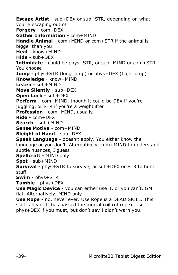**Escape Artist** - sub+DEX or sub+STR, depending on what you're escaping out of **Forgery** - com+DEX **Gather Information** - com+MIND **Handle Animal** - com+MIND or com+STR if the animal is bigger than you **Heal** - know+MIND **Hide** - sub+DEX **Intimidate** - could be phys+STR, or sub+MIND or com+STR. You choose **Jump** - phys+STR (long jump) or phys+DEX (high jump) **Knowledge** - know+MIND **Listen** - sub+MIND **Move Silently** - sub+DEX **Open Lock** - sub+DEX **Perform** - com+MIND, though it could be DEX if you're juggling, or STR if you're a weightlifter **Profession** - com+MIND, usually **Ride** - com+DEX **Search** - sub+MIND **Sense Motive** - com+MIND **Sleight of Hand** - sub+DEX **Speak Language** - doesn't apply. You either know the language or you don't. Alternatively, com+MIND to understand subtle nuances, I guess **Spellcraft** - MIND only **Spot** - sub+MIND **Survival** - phys+STR to survive, or sub+DEX or STR to hunt stuff. **Swim** - phys+STR **Tumble** - phys+DEX **Use Magic Device** - you can either use it, or you can't. GM fiat. Alternatively, MIND only **Use Rope** - no, never ever. Use Rope is a DEAD SKILL. This skill is dead. It has passed the mortal coil (of rope). Use phys+DEX if you must, but don't say I didn't warn you.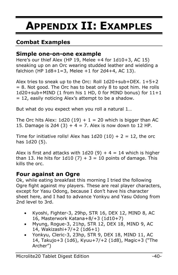# **APPENDIX II: EXAMPLES**

## **Combat Examples**

### **Simple one-on-one example**

Here's our thief Alex (HP 19, Melee +4 for 1d10+3, AC 15) sneaking up on an Orc wearing studded leather and wielding a falchion (HP  $1d8+1=3$ , Melee  $+1$  for  $2d4+4$ , AC 13).

Alex tries to sneak up to the Orc: Roll 1d20+sub+DEX. 1+5+2 = 8. Not good. The Orc has to beat only 8 to spot him. He rolls 1d20+sub+MIND (1 from his 1 HD, 0 for MIND bonus) for 11+1 = 12, easily noticing Alex's attempt to be a shadow.

But what do you expect when you roll a natural 1…

The Orc hits Alex:  $1d20(19) + 1 = 20$  which is bigger than AC 15. Damage is 2d4 (3)  $+ 4 = 7$ . Alex is now down to 12 HP.

Time for initiative rolls! Alex has  $1d20(10) + 2 = 12$ , the orc has 1d20 (5).

Alex is first and attacks with  $1d20(9) + 4 = 14$  which is higher than 13. He hits for 1d10 (7)  $+ 3 = 10$  points of damage. This kills the orc.

### **Four against an Ogre**

Ok, while eating breakfast this morning I tried the following Ogre fight against my players. These are real player characters, except for Yasu Odong, because I don't have his character sheet here, and I had to advance Yonkyu and Yasu Odong from 2nd level to 3rd.

- Kyoshi, Fighter-3, 29hp, STR 16, DEX 12, MIND 8, AC 16, Masterwork Katana+8/+3 (1d10+7)
- Myung, Rogue-3, 21hp, STR 12, DEX 18, MIND 9, AC 14, Wakizashi+7/+2 (1d6+1)
- Yonkyu, Cleric-3, 23hp, STR 9, DEX 18, MIND 11, AC 14, Takujo+3 (1d6), Kyuu+7/+2 (1d8), Magic+3 ("The Archer")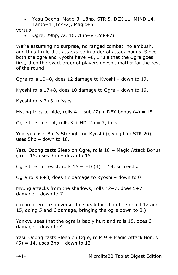Yasu Odong, Mage-3, 18hp, STR 5, DEX 11, MIND 14, Tanto+1 (1d4-2), Magic+5

#### versus

Ogre, 29hp, AC 16, club+8 (2d8+7).

We're assuming no surprise, no ranged combat, no ambush, and thus I rule that attacks go in order of attack bonus. Since both the ogre and Kyoshi have +8, I rule that the Ogre goes first, then the exact order of players doesn't matter for the rest of the round.

Ogre rolls 10+8, does 12 damage to Kyoshi – down to 17.

Kyoshi rolls 17+8, does 10 damage to Ogre – down to 19.

Kyoshi rolls 2+3, misses.

Myung tries to hide, rolls  $4 + sub(7) + DEX$  bonus  $(4) = 15$ 

Ogre tries to spot, rolls  $3 + HD(4) = 7$ , fails.

Yonkyu casts Bull's Strength on Kyoshi (giving him STR 20), uses 5hp – down to 18.

Yasu Odong casts Sleep on Ogre, rolls 10 + Magic Attack Bonus  $(5) = 15$ , uses  $3$ hp – down to 15

Ogre tries to resist, rolls  $15 + HD(4) = 19$ , succeeds.

Ogre rolls 8+8, does 17 damage to Kyoshi – down to 0!

Myung attacks from the shadows, rolls 12+7, does 5+7 damage – down to 7.

(In an alternate universe the sneak failed and he rolled 12 and 15, doing 5 and 6 damage, bringing the ogre down to 8.)

Yonkyu sees that the ogre is badly hurt and rolls 18, does 3 damage – down to 4.

Yasu Odong casts Sleep on Ogre, rolls 9 + Magic Attack Bonus  $(5) = 14$ , uses  $3hp - down to 12$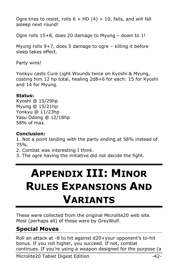Ogre tries to resist, rolls  $6 + HD(4) = 10$ , fails, and will fall asleep next round!

Ogre rolls 15+8, does 20 damage to Myung – down to 1!

Myung rolls 9+7, does 5 damage to ogre – killing it before sleep takes effect.

Party wins!

Yonkyu casts Cure Light Wounds twice on Kyoshi & Myung, costing him 12 hp total, healing 2d8+6 for each: 15 for Kyoshi and 14 for Myung.

### **Status:**

Kyoshi @ 15/29hp Myung @ 15/21hp Yonkyu @ 11/23hp Yasu Odong @ 12/18hp 58% of max.

### **Conclusion:**

1. Not a point landing with the party ending at 58% instead of 75%.

2. Combat was interesting I think.

3. The ogre having the initiative did not decide the fight.

# **APPENDIX III: MINOR RULES EXPANSIONS AND VARIANTS**

These were collected from the original Microlite20 web site. Most (perhaps all) of these were by GreyWulf.

## **Special Moves**

Roll an attack at -8 to hit against d20+your opponent's to-hit bonus. If you roll higher, you succeed. If not, combat continues. If you're using a weapon designed for the purpose (a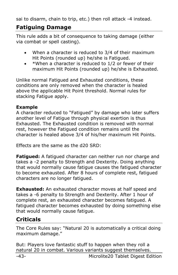sai to disarm, chain to trip, etc.) then roll attack -4 instead.

# **Fatiguing Damage**

This rule adds a bit of consequence to taking damage (either via combat or spell casting).

- When a character is reduced to 3/4 of their maximum Hit Points (rounded up) he/she is Fatigued.
- \*When a character is reduced to 1/2 or fewer of their maximum Hit Points (rounded up) he/she is Exhausted.

Unlike normal Fatigued and Exhausted conditions, these conditions are only removed when the character is healed above the applicable Hit Point threshold. Normal rules for stacking Fatigue apply.

### **Example**

A character reduced to "Fatigued" by damage who later suffers another level of Fatigue through physical exertion is thus Exhausted. The Exhausted condition is removed with normal rest, however the Fatigued condition remains until the character is healed above 3/4 of his/her maximum Hit Points.

Effects are the same as the d20 SRD:

**Fatigued:** A fatigued character can neither run nor charge and takes a -2 penalty to Strength and Dexterity. Doing anything that would normally cause fatigue causes the fatigued character to become exhausted. After 8 hours of complete rest, fatigued characters are no longer fatigued.

**Exhausted:** An exhausted character moves at half speed and takes a -6 penalty to Strength and Dexterity. After 1 hour of complete rest, an exhausted character becomes fatigued. A fatigued character becomes exhausted by doing something else that would normally cause fatigue.

## **Criticals**

The Core Rules say: "Natural 20 is automatically a critical doing maximum damage."

-43- Microlite20 Tablet Digest Edition But: Players love fantastic stuff to happen when they roll a natural 20 in combat. Various variants suggest themselves.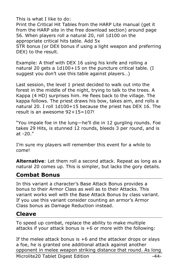This is what I like to do:

Print the Critical Hit Tables from the HARP Lite manual (get it from the HARP site in the free download section) around page 56. When players roll a natural 20, roll 1d100 on the appropriate critical hits table. Add 5x

STR bonus (or DEX bonus if using a light weapon and preferring DEX) to the result.

Example: A thief with DEX 16 using his knife and rolling a natural 20 gets a 1d100+15 on the puncture critical table. (I suggest you don't use this table against players…)

Last session, the level 1 priest decided to walk out into the forest in the middle of the night, trying to talk to the trees. A Kappa (4 HD) surprises him. He flees back to the village. The kappa follows. The priest draws his bow, takes aim, and rolls a natural 20. I roll 1d100+15 because the priest has DEX 16. The result is an awesome 92+15=107!

"You impale foe in the lung—he'll die in 12 gurgling rounds. Foe takes 29 Hits, is stunned 12 rounds, bleeds 3 per round, and is  $at -20.$ "

I'm sure my players will remember this event for a while to come!

**Alternative**: Let them roll a second attack. Repeat as long as a natural 20 comes up. This is simpler, but lacks the gory details.

### **Combat Bonus**

In this variant a character's Base Attack Bonus provides a bonus to their Armor Class as well as to their Attacks. This variant works well with the Base Attack Bonus by class variant. If you use this variant consider counting an armor's Armor Class bonus as Damage Reduction instead.

### **Cleave**

To speed up combat, replace the ability to make multiple attacks if your attack bonus is  $+6$  or more with the following:

Microlite20 Tablet Digest Edition -44- If the melee attack bonus is +6 and the attacker drops or slays a foe, he is granted one additional attack against another opponent in melee weapon striking distance that round. As long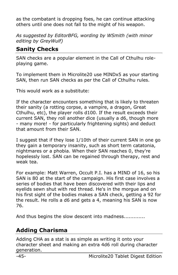as the combatant is dropping foes, he can continue attacking others until one does not fall to the might of his weapon.

*As suggested by EditorBFG, wording by WSmith (with minor editing by GreyWulf)*

## **Sanity Checks**

SAN checks are a popular element in the Call of Cthulhu roleplaying game.

To implement them in Microlite20 use MINDx5 as your starting SAN, then run SAN checks as per the Call of Cthulhu rules.

This would work as a substitute:

If the character encounters something that is likely to threaten their sanity (a rotting corpse, a vampire, a dragon, Great Cthulhu, etc), the player rolls d100. If the result exceeds their current SAN, they roll another dice (usually a d6, though more - many more! - for particularly frightening sights) and deduct that amount from their SAN.

I suggest that if they lose 1/10th of their current SAN in one go they gain a temporary insanity, such as short term catatonia, nightmares or a phobia. When their SAN reaches 0, they're hopelessly lost. SAN can be regained through therapy, rest and weak tea.

For example: Matt Warren, Occult P.I. has a MIND of 16, so his SAN is 80 at the start of the campaign. His first case involves a series of bodies that have been discovered with their lips and eyelids sewn shut with red thread. He's in the morgue and on his first sight of the bodies makes a SAN check, getting a 92 for the result. He rolls a d6 and gets a 4, meaning his SAN is now 76.

And thus begins the slow descent into madness.............

# **Adding Charisma**

Adding CHA as a stat is as simple as writing it onto your character sheet and making an extra 4d6 roll during character generation.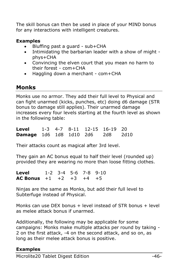The skill bonus can then be used in place of your MIND bonus for any interactions with intelligent creatures.

### **Examples**

- Bluffing past a guard sub+CHA
- Intimidating the barbarian leader with a show of might phys+CHA
- Convincing the elven court that you mean no harm to their forest - com+CHA
- Haggling down a merchant com+CHA

## **Monks**

Monks use no armor. They add their full level to Physical and can fight unarmed (kicks, punches, etc) doing d6 damage (STR bonus to damage still applies). Their unarmed damage increases every four levels starting at the fourth level as shown in the following table:

| Level                                   |  | 1-3 4-7 8-11 12-15 16-19 20 |  |
|-----------------------------------------|--|-----------------------------|--|
| <b>Damage</b> 1d6 1d8 1d10 2d6 2d8 2d10 |  |                             |  |

Their attacks count as magical after 3rd level.

They gain an AC bonus equal to half their level (rounded up) provided they are wearing no more than loose fitting clothes.

**Level** 1-2 3-4 5-6 7-8 9-10 **AC Bonus**  $+1$   $+2$   $+3$   $+4$   $+5$ 

Ninjas are the same as Monks, but add their full level to Subterfuge instead of Physical.

Monks can use DEX bonus + level instead of STR bonus + level as melee attack bonus if unarmed.

Additionally, the following may be applicable for some campaigns: Monks make multiple attacks per round by taking - 2 on the first attack, -4 on the second attack, and so on, as long as their melee attack bonus is positive.

### **Examples**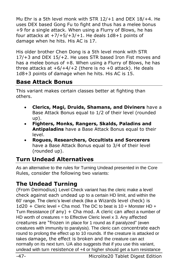Mu Ehr is a 5th level monk with STR 12/+1 and DEX 18/+4. He uses DEX based Gong Fu to fight and thus has a melee bonus +9 for a single attack. When using a Flurry of Blows, he has four attacks at  $+7/+5/+3/+1$ . He deals  $1d8+1$  points of damage when he hits. His AC is 17.

His older brother Chen Dong is a 5th level monk with STR 17/+3 and DEX 15/+2. He uses STR based Iron Fist moves and has a melee bonus of +8. When using a Flurry of Blows, he has three attacks at  $+6/+4/+2$  (there is no  $+0$  attack). He deals 1d8+3 points of damage when he hits. His AC is 15.

# **Base Attack Bonus**

This variant makes certain classes better at fighting than others.

- **Clerics, Magi, Druids, Shamans, and Diviners** have a Base Attack Bonus equal to 1/2 of their level (rounded up).
- **Fighters, Monks, Rangers, Skalds, Paladins and Antipaladins** have a Base Attack Bonus equal to their level.
- **Rogues, Researchers, Occultists and Sorcerers** have a Base Attack Bonus equal to 3/4 of their level (rounded up).

# **Turn Undead Alternatives**

As an alternative to the rules for Turning Undead presented in the Core Rules, consider the following two variants:

# **The Undead Turning**

(From Deimodius) Level Check variant has the cleric make a level check against each undead up to a certain HD limit, and within the 60' range. The cleric's level check (like a Wizards level check) is  $1d20 +$  Cleric level + Cha mod. The DC to beat is  $10 +$  Monster HD + Turn Resistance (if any)  $+$  Cha mod. A cleric can affect a number of HD worth of creatures  $=$  to Effective Cleric level x 3. Any affected creatures are "frozen in place for 1 round as if paralyzed" (even creatures with immunity to paralysis). The cleric can concentrate each round to prolong the effect up to 10 rounds. If the creature is attacked or takes damage, the effect is broken and the creature can act normally on its next turn. UA also suggests that if you use this variant, undead with turn resistence of +4 or higher should get a turn resistance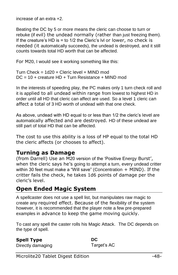increase of an extra +2.

Beating the DC by 5 or more means the cleric can choose to turn or rebuke (if evil) the undead normally (rather than just freezing them). If the creature's HD is = to 1/2 the Cleric's lvl or lower, no check is needed (it automatically succeeds), the undead is destroyed, and it still counts towards total HD worth that can be affected.

For M20, I would see it working something like this:

```
Turn Check = 1d20 + Cleric level + MIND mod
DC = 10 + creature HD + Turn Resistance + MIND mod
```
In the interests of speeding play, the PC makes only 1 turn check roll and it is applied to all undead within range from lowest to highest HD in order until all HD that cleric can affect are used. So a level 1 cleric can affect a total of 3 HD worth of undead with that one check.

As above, undead with HD equal to or less than 1/2 the cleric's level are automatically affected and are destroyed. HD of these undead are still part of total HD that can be affected.

The cost to use this ability is a loss of HP equal to the total HD the cleric affects (or chooses to affect).

### **Turning as Damage**

(from Darrell) Use an M20 version of the 'Positive Energy Burst', when the cleric says he's going to attempt a turn, every undead critter within 30 feet must make a "Will save" (Concentration + MIND). If the critter fails the check, he takes 1d6 points of damage per the cleric's level.

## **Open Ended Magic System**

A spellcaster does not use a spell list, but manipulates raw magic to create any required effect. Because of the flexibility of the system however, it is recommended that the player note a few pre-prepared examples in advance to keep the game moving quickly.

To cast any spell the caster rolls his Magic Attack. The DC depends on the type of spell.

#### **Spell Type DC**

Directly damaging Target's AC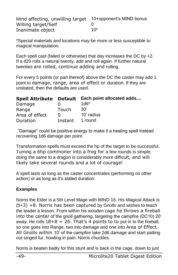| Mind affecting, unwilling target 10+opponent's MIND bonus |       |
|-----------------------------------------------------------|-------|
| Willing target/Self                                       |       |
| Inanimate object                                          | $10*$ |

\*Special materials and locations may be more or less susceptible to magical manipulation.

Each spell cast (failed or otherwise) that day increases the DC by +2. If a d20 rolls a natural twenty, add and roll again. If further natural twenties are rolled, continue adding and rolling.

For every 5 points (or part thereof) above the DC the caster may add 1 point to damage, range, area of effect or duration. If they are unstated, then the defaults are used.

|                |         | Spell Attribute Default Each point allocated adds |
|----------------|---------|---------------------------------------------------|
| Damage         |         | $1d6*$                                            |
| Range          | Touch   | .30'                                              |
| Area of effect | n       | 10' radius                                        |
| Duration       | Instant | 1 round                                           |

"Damage" could be positive energy to make it a healing spell instead recovering 1d6 damage per point.

Transformation spells must exceed the hp of the target to be successful. Turning a 6hp commoner into a frog for a few rounds is simple; doing the same to a dragon is considerably more difficult, and will likely take several rounds and a lot of courage!

A spell lasts as long as the caster concentrates (performing no other action) or as long as it's stated duration.

### **Examples**

Norris the Elder is a 5th Level Mage with MIND 16. His Magical Attack is (5+3) +8. Norris has been captured by Gnolls and wishes to teach the leader a lesson. From within his wooden cage he throws a fireball into the center of the gnoll gathering, targeting the campfire (DC10) 20' away. He rolls  $18+8 = 26$ . That's 4 points to to put in to the fireball, so one goes into Range, two into damage and one into Area of Effect. All Gnolls within 10' of the campfire take 2d6 damage and start patting out singed fur, howling in pain. Norris chuckles.

Norris is beaten badly for this stunt and is back in the cage, down to just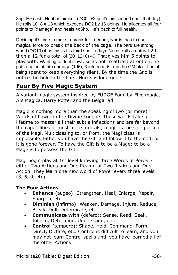3hp. He casts Heal on himself (DC0, +2 as it's his second spell that day). He rolls 10+8 = 18 which exceeds DC2 by 16 points. He allocates all four points to "damage" and heals 4d6hp. He's back to full health.

Deciding it's time to make a break for freedom, Norris tries to use magical force to break the back of the cage. The bars are strong wood (DC10+4 as this is his third spell today). Norris rolls a natural 20, then a 12 for a total of (20+12+8) 40. That gives him 5 points to play with. Wanting to do it slowly so as not to attract attention, he puts one point into damage (1d6), 3 into rounds and the GM ok's 1 point being spent to keep everything silent. By the time the Gnolls notice the hole in the bars, Norris is long gone.

# **Four By Five Magic System**

A variant magic system inspired by FUDGE Four-by-Five magic, Ars Magica, Harry Potter and the Belgariad.

Magic is nothing more than the speaking of two (or more) Words of Power in the Divine Tongue. These words take a lifetime to master all their subtle inflections and are far beyond the capabilities of most mere mortals; magic is the sole purlieu of the Magi. Multiclassing to, or from, the Magi class is impossible. Either you have the Gift and follow it to the end, or it is gone forever. To have the Gift is to be a Mage; to be a Mage is to possess the Gift.

Magi begin play at 1st level knowing three Words of Power either Two Actions and One Realm, or Two Realms and One Action. They learn one new Word of Power every three levels (3, 6, 9, etc).

### **The Four Actions**

- **Enhance** (augeo): Strengthen, Heal, Enlarge, Repair, Sharpen, etc.
- **Diminish** (infirmo): Weaken, Damage, Injure, Reduce, Break, Dull, Deteriorate, etc.
- **Communicate with** (defero): Sense, Read, Seek, Inform, Determine, Understand, etc.
- **Control** (tempero): Shape, Hold, Command, Form, Direct, Dictate, etc. Control is difficult to learn, and you may not learn Control spells until you have learned all of the other Actions.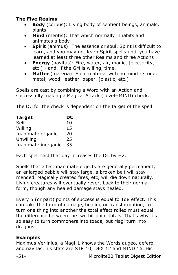### **The Five Realms**

- **Body** (corpus): Living body of sentient beings, animals, plants.
- **Mind** (mentis): That which normally inhabits and animates a body
- **Spirit** (animus): The essence or soul. Spirit is difficult to learn, and you may not learn Spirit spells until you have learned at least three other Realms and three Actions
- **Energy** (navitas): Fire, water, air, magic, [electricity, etc.] - and, if the GM is willing, time.
- **Matter** (materia): Solid material with no mind stone, metal, wood, leather, paper, [plastic, etc.]

Spells are cast by combining a Word with an Action and successfully making a Magical Attack (Level+MIND) check.

The DC for the check is dependent on the target of the spell.

| <b>Target</b>       | DC |
|---------------------|----|
| Self                | 10 |
| Willing             | 15 |
| Inanimate organic   | 20 |
| Unwilling           | 25 |
| Inanimate inorganic | 35 |

Each spell cast that day increases the DC by  $+2$ .

Spells that affect inanimate objects are generally permanent; an enlarged pebble will stay large, a broken belt will stay mended. Magically created fires, etc, will die down naturally. Living creatures will eventually revert back to their normal form, though any healed damage stays healed.

Every 5 (or part) points of success is equal to 1d8 effect. This can take the form of damage, healing or transformation; to turn one thing into another the total effect rolled must equal the difference between the two hit point totals. That's why it's so easy to turn commoners into toads, but Magi turn into dragons.

### **Examples**

Maximus Verlinius, a Magi-1 knows the Words augeo, defero and navitas. his stats are STR 10, DEX 12 and MIND 16. His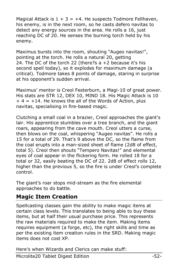Magical Attack is  $1 + 3 = +4$ . He suspects Todmore Fellhaven, his enemy, is in the next room, so he casts defero navitas to detect any energy sources in the area. He rolls a 16, just reaching DC of 20. He senses the burning torch held by his enemy.

Maximus bursts into the room, shouting "Augeo navitas!", pointing at the torch. He rolls a natural 20, getting 24. The DC of the torch 22 (there?s  $a + 2$  because it's his second spell today), so it explodes for maximum damage (a critical). Todmore takes 8 points of damage, staring in surprise at his opponent's sudden arrival.

Maximus' mentor is Creol Festerburn, a Magi-10 of great power. His stats are STR 12, DEX 10, MIND 18. His Magic Attack is 10  $+ 4 = +14$ . He knows the all of the Words of Action, plus navitas, specialising in fire-based magic.

Clutching a small coal in a brazier, Creol approaches the giant's lair. His apprentice stumbles over a tree branch, and the giant roars, appearing from the cave mouth. Creol utters a curse, then blows on the coal, whispering "Augeo navitas". He rolls a 15 for a total of 29. That's 9 above the DC, so the flame from the coal erupts into a man-sized sheet of flame (2d8 of effect, total 5). Creol then shouts "Tempero Navitas!" and elemental eyes of coal appear in the flickering form. He rolled 18 for a total or 32, easily beating the DC of 22. 2d8 of effect rolls 12, higher than the previous 5, so the fire is under Creol's complete control.

The giant's roar stops mid-stream as the fire elemental approaches to do battle.

## **Magic Item Creation**

Spellcasting classes gain the ability to make magic items at certain class levels. This translates to being able to buy these items, but at half their usual purchase price. This represents the raw materials required to make the item. Making items requires equipment (a forge, etc), the right skills and time as per the existing item creation rules in the SRD. Making magic items does not cost XP.

Here's when Wizards and Clerics can make stuff: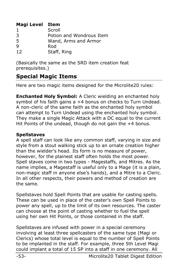| Magi Level Item |                          |
|-----------------|--------------------------|
|                 | Scroll                   |
| 3               | Potion and Wondrous Item |
| 5               | Wand, Arms and Armor     |
| q               | Rod                      |
| 12              | Staff, Ring              |

(Basically the same as the SRD item creation feat prerequisites.)

## **Special Magic Items**

Here are two magic items designed for the Microlite20 rules:

**Enchanted Holy Symbol:** A Cleric wielding an enchanted holy symbol of his faith gains a +4 bonus on checks to Turn Undead. A non-cleric of the same faith as the enchanted holy symbol can attempt to Turn Undead using the enchanted holy symbol. They make a single Magic Attack with a DC equal to the current Hit Points of the undead, though do not gain the +4 bonus.

### **Spellstaves**

A spell staff can look like any common staff, varying in size and style from a stout walking stick up to an ornate creation higher than the wielder's head. Its form is no measure of power, however, for the plainest staff often holds the most power. Spell staves come in two types - Magestaffs, and Mitres. As the name implies, a Magestaff is useful only to a Mage (it is a plain, non-magic staff in anyone else's hands), and a Mitre to a Cleric. In all other respects, their powers and method of creation are the same.

Spellstaves hold Spell Points that are usable for casting spells. These can be used in place of the caster's own Spell Points to power any spell, up to the limit of its own resources. The caster can choose at the point of casting whether to fuel the spell using her own Hit Points, or those contained in the staff.

Spellstaves are infused with power in a special ceremony involving at least three spellcasters of the same type (Magi or Clerics) whose total level is equal to the number of Spell Points to be implanted in the staff. For example, three 5th Level Magi could implant a total of 15 SP into a staff in one ceremony. All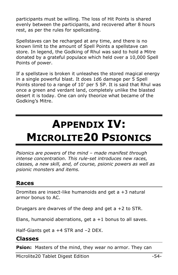participants must be willing. The loss of Hit Points is shared evenly between the participants, and recovered after 8 hours rest, as per the rules for spellcasting.

Spellstaves can be recharged at any time, and there is no known limit to the amount of Spell Points a spellstave can store. In legend, the Godking of Rhul was said to hold a Mitre donated by a grateful populace which held over a 10,000 Spell Points of power.

If a spellstave is broken it unleashes the stored magical energy in a single powerful blast. It does 1d6 damage per 5 Spell Points stored to a range of 10' per 5 SP. It is said that Rhul was once a green and verdant land, completely unlike the blasted desert it is today. One can only theorize what became of the Godking's Mitre.

# **APPENDIX IV: MICROLITE20 PSIONICS**

*Psionics are powers of the mind – made manifest through intense concentration. This rule-set introduces new races, classes, a new skill, and, of course, psionic powers as well as psionic monsters and items.*

### **Races**

Dromites are insect-like humanoids and get a +3 natural armor bonus to AC.

Druegars are dwarves of the deep and get  $a + 2$  to STR.

Elans, humanoid aberrations, get  $a + 1$  bonus to all saves.

Half-Giants get a +4 STR and –2 DEX.

### **Classes**

**Psion:** Masters of the mind, they wear no armor. They can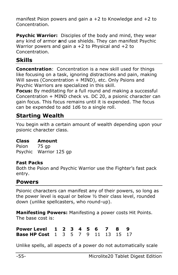manifest Psion powers and gain a +2 to Knowledge and +2 to Concentration.

**Psychic Warrior:** Disciples of the body and mind, they wear any kind of armor **a**nd use shields. They can manifest Psychic Warrior powers and gain  $a + 2$  to Physical and  $+2$  to Concentration.

## **Skills**

**Concentration**: Concentration is a new skill used for things like focusing on a task, ignoring distractions and pain, making Will saves (Concentration + MIND), etc. Only Psions and Psychic Warriors are specialized in this skill.

**Focus:** By meditating for a full round and making a successful Concentration + MIND check vs. DC 20, a psionic character can gain focus. This focus remains until it is expended. The focus can be expended to add 1d6 to a single roll.

## **Starting Wealth**

You begin with a certain amount of wealth depending upon your psionic character class.

### **Class Amount**

Psion 75 gp Psychic Warrior 125 gp

### **Fast Packs**

Both the Psion and Psychic Warrior use the Fighter's fast pack entry.

### **Powers**

Psionic characters can manifest any of their powers, so long as the power level is equal or below ½ their class level, rounded down (unlike spellcasters, who round-up).

**Manifesting Powers:** Manifesting a power costs Hit Points. The base cost is:

**Power Level 1 2 3 4 5 6 7 8 9 Base HP Cost** 1 3 5 7 9 11 13 15 17

Unlike spells, all aspects of a power do not automatically scale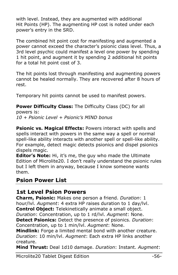with level. Instead, they are augmented with additional Hit Points (HP). The augmenting HP cost is noted under each power's entry in the SRD.

The combined hit point cost for manifesting and augmented a power cannot exceed the character's psionic class level. Thus, a 3rd level psychic could manifest a level one power by spending 1 hit point, and augment it by spending 2 additional hit points for a total hit point cost of 3.

The hit points lost through manifesting and augmenting powers cannot be healed normally. They are recovered after 8 hours of rest.

Temporary hit points cannot be used to manifest powers.

**Power Difficulty Class:** The Difficulty Class (DC) for all powers is: *10 + Psionic Level + Psionic's MIND bonus*

**Psionic vs. Magical Effects:** Powers interact with spells and spells interact with powers in the same way a spell or normal spell-like ability interacts with another spell or spell-like ability. For example, detect magic detects psionics and dispel psionics dispels magic.

**Editor's Note:** Hi, it's me, the guy who made the Ultimate Edition of Microlite20. I don't really understand the psionic rules but I left them in anyway, because I know someone wants them.

### **Psion Power List**

### **1st Level Psion Powers**

**Charm, Psionic:** Makes one person a friend. *Duration*: 1 hour/lvl. *Augment*: 4 extra HP raises duration to 1 day/lvl. **Control Object:** Telekinetically animate a small object. *Duration*: Concentration, up to 1 rd/lvl. *Augment*: None.

**Detect Psionics:** Detect the presence of psionics. *Duration*: Concentration, up to 1 min/lvl. *Augment*: None.

**Mindlink:** Forge a limited mental bond with another creature. *Duration*: 10 min/lvl. *Augment*: Each extra HP links another creature.

**Mind Thrust:** Deal 1d10 damage. *Duration*: Instant. *Augment*: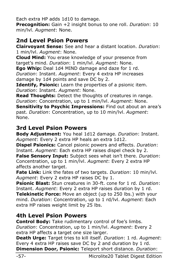Each extra HP adds 1d10 to damage.

**Precognition:** Gain +2 insight bonus to one roll. *Duration*: 10 min/lvl. *Augment*: None.

## **2nd Level Psion Powers**

**Clairvoyant Sense:** See and hear a distant location. *Duration*: 1 min/lvl. *Augment*: None.

**Cloud Mind:** You erase knowledge of your presence from target's mind. *Duration*: 1 min/lvl. *Augment*: None.

**Ego Whip:** Deal 1d4 MIND damage and daze for 1 rd. *Duration*: Instant. *Augment*: Every 4 extra HP increases damage by 1d4 points and save DC by 2.

**Identify, Psionic:** Learn the properties of a psionic item. *Duration*: Instant. *Augment*: None.

**Read Thoughts:** Detect the thoughts of creatures in range. *Duration*: Concentration, up to 1 min/lvl. *Augment*: None.

**Sensitivity to Psychic Impressions:** Find out about an area's past. *Duration*: Concentration, up to 10 min/lvl. *Augment*: None.

### **3rd Level Psion Powers**

**Body Adjustment:** You heal 1d12 damage. *Duration*: Instant. *Augment*: Every 2 extra HP heals an extra 1d12.

**Dispel Psionics:** Cancel psionic powers and effects. *Duration*: Instant. *Augment*: Each extra HP raises dispel check by 2.

**False Sensory Input:** Subject sees what isn't there. *Duration*: Concentration, up to 1 min/lvl. *Augment*: Every 2 extra HP affects another target.

**Fate Link:** Link the fates of two targets. *Duration*: 10 min/lvl. *Augment*: Every 2 extra HP raises DC by 1.

**Psionic Blast:** Stun creatures in 30-ft. cone for 1 rd. *Duration*: Instant. *Augment*: Every 2 extra HP raises duration by 1 rd. **Telekinetic Force:** Move an object (up to 250 lbs.) with your mind. *Duration*: Concentration, up to 1 rd/lvl. *Augment*: Each extra HP raises weight limit by 25 lbs.

## **4th Level Psion Powers**

**Control Body:** Take rudimentary control of foe's limbs. *Duration*: Concentration, up to 1 min/lvl. *Augment*: Every 2 extra HP affects a target one size larger.

**Death Urge:** Target tries to kill itself. *Duration*: 1 rd. *Augment*: Every 4 extra HP raises save DC by 2 and duration by 1 rd. **Dimension Door, Psionic:** Teleport short distance. *Duration*: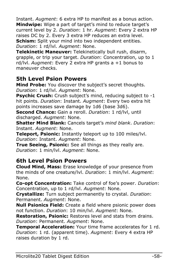Instant. *Augment*: 6 extra HP to manifest as a bonus action. **Mindwipe:** Wipe a part of target's mind to reduce target's current level by 2. *Duration*: 1 hr. *Augment*: Every 2 extra HP raises DC by 2. Every 3 extra HP reduces an extra level. **Schism:** Split your mind into two independent entities. *Duration*: 1 rd/lvl. *Augment*: None.

**Telekinetic Maneuver:** Telekinetically bull rush, disarm, grapple, or trip your target. *Duration*: Concentration, up to 1 rd/lvl. *Augment*: Every 2 extra HP grants a +1 bonus to maneuver checks.

## **5th Level Psion Powers**

**Mind Probe:** You discover the subject's secret thoughts. *Duration*: 1 rd/lvl. *Augment*: None.

**Psychic Crush:** Crush subject's mind, reducing subject to -1 hit points. *Duration*: Instant. *Augment*: Every two extra hit points increases save damage by 1d6 (base 3d6).

**Second Chance:** Gain a reroll. *Duration*: 1 rd/lvl, until discharged. *Augment*: None.

**Shatter Mind Blank:** Cancels target's *mind blank*. *Duration*: Instant. *Augment*: None.

**Teleport, Psionic:** Instantly teleport up to 100 miles/lvl. *Duration*: Instant. *Augment*: None.

**True Seeing, Psionic:** See all things as they really are. *Duration*: 1 min/lvl. *Augment*: None.

### **6th Level Psion Powers**

**Cloud Mind, Mass:** Erase knowledge of your presence from the minds of one creature/lvl. *Duration*: 1 min/lvl. *Augment*: None.

**Co-opt Concentration:** Take control of foe's power. *Duration*: Concentration, up to 1 rd/lvl. *Augment*: None.

**Crystallize:** Turn subject permanently to crystal. *Duration*: Permanent. *Augment*: None.

**Null Psionics Field:** Create a field where psionic power does not function. *Duration*: 10 min/lvl. *Augment*: None.

**Restoration, Psionic:** Restores level and stats from drains. *Duration*: Permanent. *Augment*: None.

**Temporal Acceleration:** Your time frame accelerates for 1 rd. *Duration*: 1 rd. (apparent time). *Augment*: Every 4 extra HP raises duration by 1 rd.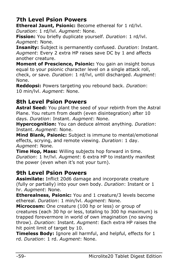### **7th Level Psion Powers**

**Ethereal Jaunt, Psionic:** Become ethereal for 1 rd/lvl. *Duration*: 1 rd/lvl. *Augment*: None.

**Fission:** You briefly duplicate yourself. *Duration*: 1 rd/lvl. *Augment*: None.

**Insanity:** Subject is permanently confused. *Duration*: Instant. *Augment*: Every 2 extra HP raises save DC by 1 and affects another creature.

**Moment of Prescience, Psionic:** You gain an insight bonus equal to your psionic character level on a single attack roll, check, or save. *Duration*: 1 rd/lvl, until discharged. *Augment*: None.

**Reddopsi:** Powers targeting you rebound back. *Duration*: 10 min/lvl. *Augment*: None.

## **8th Level Psion Powers**

**Astral Seed:** You plant the seed of your rebirth from the Astral Plane. You return from death (even disintegration) after 10 days. *Duration*: Instant. *Augment*: None.

**Hypercognition:** You can deduce almost anything. *Duration*: Instant. *Augment*: None.

**Mind Blank, Psionic:** Subject is immune to mental/emotional effects, scrying, and remote viewing. *Duration*: 1 day. *Augment*: None.

**Time Hop, Mass:** Willing subjects hop forward in time. *Duration*: 1 hr/lvl. *Augment*: 6 extra HP to instantly manifest the power (even when it's not your turn).

### **9th Level Psion Powers**

**Assimilate:** Inflict 20d6 damage and incorporate creature (fully or partially) into your own body. *Duration*: Instant or 1 hr. *Augment*: None.

**Etherealness, Psionic:** You and 1 creature/3 levels become ethereal. *Duration*: 1 min/lvl. *Augment*: None.

**Microcosm:** One creature (100 hp or less) or group of creatures (each 30 hp or less, totaling to 300 hp maximum) is trapped forevermore in world of own imagination (no saving throw). *Duration*: Instant. *Augment*: Each extra HP raises the hit point limit of target by 10.

**Timeless Body:** Ignore all harmful, and helpful, effects for 1 rd. *Duration*: 1 rd. *Augment*: None.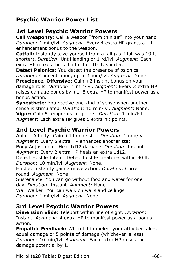### **1st Level Psychic Warrior Powers**

**Call Weaponry**: Call a weapon "from thin air" into your hand *Duration*: 1 min/lvl. *Augment*: Every 4 extra HP grants a +1 enhancement bonus to the weapon.

**Catfall:** Instantly save yourself from a fall (as if fall was 10 ft. shorter). *Duration*: Until landing or 1 rd/lvl. *Augment*: Each extra HP makes the fall a further 10 ft. shorter.

**Detect Psionics:** You detect the presence of psionics. *Duration*: Concentration, up to 1 min/lvl. *Augment*: None.

**Prescience, Offensive**: Gain +2 insight bonus on your damage rolls. *Duration*: 1 min/lvl. *Augment*: Every 3 extra HP raises damage bonus by  $+1$ . 6 extra HP to manifest power as a bonus action.

**Synesthete:** You receive one kind of sense when another sense is stimulated. *Duration*: 10 min/lvl. *Augment*: None. **Vigor:** Gain 5 temporary hit points. *Duration*: 1 min/lvl. *Augment*: Each extra HP gives 5 extra hit points.

### **2nd Level Psychic Warrior Powers**

Animal Affinity: Gain +4 to one stat. *Duration*: 1 min/lvl. *Augment*: Every 5 extra HP enhances another stat. Body Adjustment: Heal 1d12 damage. *Duration*: Instant.

*Augment*: Every 2 extra HP heals an extra 1d12.

Detect Hostile Intent: Detect hostile creatures within 30 ft. *Duration*: 10 min/lvl. *Augment*: None.

Hustle: Instantly gain a move action. *Duration*: Current round. *Augment*: None.

Sustenance: You can go without food and water for one day. *Duration*: Instant. *Augment*: None.

Wall Walker: You can walk on walls and ceilings. *Duration*: 1 min/lvl. *Augment*: None.

### **3rd Level Psychic Warrior Powers**

**Dimension Slide:** Teleport within line of sight. *Duration*: Instant. *Augment*: 4 extra HP to manifest power as a bonus action.

**Empathic Feedback:** When hit in melee, your attacker takes equal damage or 5 points of damage (whichever is less). *Duration*: 10 min/lvl. *Augment*: Each extra HP raises the damage potential by 1.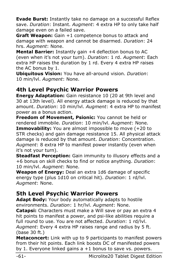**Evade Burst:** Instantly take no damage on a successful Reflex save. *Duration*: Instant. *Augment*: 4 extra HP to only take half damage even on a failed save.

**Graft Weapon:** Gain +1 competence bonus to attack and damage with weapon and cannot be disarmed. *Duration*: 24 hrs. *Augment*: None.

**Mental Barrier:** Instantly gain +4 deflection bonus to AC (even when it's not your turn). *Duration*: 1 rd. *Augment*: Each extra HP raises the duration by 1 rd. Every 4 extra HP raises the AC bonus by 1.

**Ubiquitous Vision:** You have all-around vision. *Duration*: 10 min/lvl. *Augment*: None.

# **4th Level Psychic Warrior Powers**

**Energy Adaptation:** Gain resistance 10 (20 at 9th level and 30 at 13th level). All energy attack damage is reduced by that amount. *Duration*: 10 min/lvl. *Augment*: 4 extra HP to manifest power as a bonus action.

**Freedom of Movement, Psionic:** You cannot be held or rendered immobile. *Duration*: 10 min/lvl. *Augment*: None.

**Immovability:** You are almost impossible to move (+20 to STR checks) and gain damage resistance 15. All physical attack damage is reduced by that amount. *Duration*: Concentration. *Augment*: 8 extra HP to manifest power instantly (even when it's not your turn).

**Steadfast Perception:** Gain immunity to illusory effects and a +6 bonus on skill checks to find or notice anything. *Duration*: 10 min/lvl. *Augment*: None.

**Weapon of Energy:** Deal an extra 1d6 damage of specific energy type (plus 1d10 on critical hit). *Duration*: 1 rd/lvl. *Augment*: None.

# **5th Level Psychic Warrior Powers**

**Adapt Body:** Your body automatically adapts to hostile environments. *Duration*: 1 hr/lvl. *Augment*: None.

**Catapsi:** Characters must make a Will save or pay an extra 4 hit points to manifest a power, and psi-like abilities require a full round to use. You are not affected. *Duration*: 1 rd/lvl. *Augment*: Every 4 extra HP raises range and radius by 5 ft. (base 30 ft.)

**Metaconcert:** Link with up to 9 participants to manifest powers from their hit points. Each link boosts DC of manifested powers by 1. Everyone linked gains a +1 bonus to save vs. powers.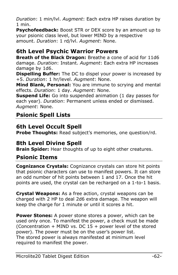*Duration*: 1 min/lvl. *Augment*: Each extra HP raises duration by 1 min.

**Psychofeedback:** Boost STR or DEX score by an amount up to your psionic class level, but lower MIND by a respective amount. *Duration*: 1 rd/lvl. *Augment*: None.

## **6th Level Psychic Warrior Powers**

**Breath of the Black Dragon:** Breathe a cone of acid for 11d6 damage. *Duration*: Instant. *Augment*: Each extra HP increases damage by 1d6.

**Dispelling Buffer:** The DC to dispel your power is increased by +5. *Duration*: 1 hr/level. *Augment*: None.

**Mind Blank, Personal:** You are immune to scrying and mental effects. *Duration*: 1 day. *Augment*: None.

**Suspend Life:** Go into suspended animation (1 day passes for each year). *Duration*: Permanent unless ended or dismissed. *Augment*: None.

## **Psionic Spell Lists**

## **6th Level Occult Spell**

**Probe Thoughts:** Read subject's memories, one question/rd.

## **8th Level Divine Spell**

**Brain Spider:** Hear thoughts of up to eight other creatures.

## **Psionic Items**

**Cognizance Crystals:** Cognizance crystals can store hit points that psionic characters can use to manifest powers. It can store an odd number of hit points between 1 and 17. Once the hit points are used, the crystal can be recharged on a 1-to-1 basis.

**Crystal Weapons:** As a free action, crystal weapons can be charged with 2 HP to deal 2d6 extra damage. The weapon will keep the charge for 1 minute or until it scores a hit.

**Power Stones:** A power stone stores a power, which can be used only once. To manifest the power, a check must be made (Concentration  $+$  MIND vs. DC 15  $+$  power level of the stored power). The power must be on the user's power list. The stored power is always manifested at minimum level required to manifest the power.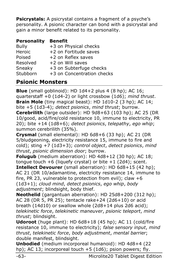**Psicrystals:** A psicrystal contains a fragment of a psyche's personality. A psionic character can bond with a psicrystal and gain a minor benefit related to its personality.

### **Personality Benefit**

| <b>Bully</b> | +3 on Physical checks      |
|--------------|----------------------------|
| Heroic       | +2 on Fortitude saves      |
| Poised       | +2 on Reflex saves         |
| Resolved     | +2 on Will saves           |
| Sneaky       | +3 on Subterfuge checks    |
| Stubborn     | +3 on Concentration checks |

### **Psionic Monsters**

**Blue** (small goblinoid): HD 1d4+2 plus 4 (8 hp); AC 16; quarterstaff +0 (1d4-2) or light crossbow (1d6); *mind thrust*. **Brain Mole** (tiny magical beast): HD 1d10-2 (3 hp); AC 14; bite +5 (1d3-4); *detect psionics*, *mind thrust*; burrow. **Cerebrilith** (large outsider): HD 9d8+63 (103 hp); AC 25 (DR 10/good, acid/fire/cold resistance 10, immune to electricity, PR 20); bite +14 (1d8+6); *detect psionics*, *telepathy*, *ego whip*; summon cerebrilith (35%). **Crysmal** (small elemental): HD 6d8+6 (33 hp); AC 21 (DR 5/bludgeoning, electricity resistance 15, immune to fire and cold); sting +7 (1d3+3); *control object*, *detect psionics*, *mind thrust*, *psionic dimension door*; burrow. **Folugub** (medium aberration): HD 4d8+12 (30 hp); AC 18; tongue touch  $+6$  (liquefy crystal) or bite  $+1$  (2d4); scent. **Intellect Devourer** (small aberration): HD 6d8+15 (42 hp); AC 21 (DR 10/adamantine, electricity resistance 14, immune to

fire, PR 23, vulnerable to protection from evil); claw +6 (1d3+1); *cloud mind*, *detect psionics*, *ego whip*, *body adjustment*; blindsight, body thief.

**Neothelid** (gargantuan aberration): HD 25d8+200 (312 hp); AC 28 (DR 5, PR 25); tentacle rake+24 (2d6+10) or acid breath (14d10) or swallow whole (2d8+14 plus 2d6 acid); *telekinetic force*, *telekinetic maneuver*, *psionic teleport*, *mind thrust*; blindsight.

**Udoroot** (huge plant): HD 6d8+18 (45 hp); AC 11 (cold/fire resistance 10, immune to electricity); *false sensory input*, *mind thrust*, *telekinetic force*, *body adjustment*, *mental barrier*; double manifest, blindsight.

**Unbodied** (medium incorporeal humanoid): HD 4d8+4 (22 hp); AC 13; incorporeal touch  $+5$  (1d6); psion powers; fly.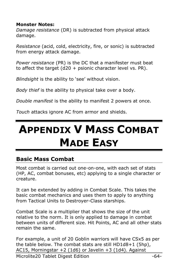#### **Monster Notes:**

*Damage resistance* (DR) is subtracted from physical attack damage.

*Resistance* (acid, cold, electricity, fire, or sonic) is subtracted from energy attack damage.

*Power resistance* (PR) is the DC that a manifester must beat to affect the target  $(d20 + psin)$  character level vs. PR).

*Blindsight* is the ability to 'see' without vision.

*Body thief* is the ability to physical take over a body.

*Double manifest* is the ability to manifest 2 powers at once.

*Touch* attacks ignore AC from armor and shields.

# **APPENDIX V MASS COMBAT MADE EASY**

## **Basic Mass Combat**

Most combat is carried out one-on-one, with each set of stats (HP, AC, combat bonuses, etc) applying to a single character or creature.

It can be extended by adding in Combat Scale. This takes the basic combat mechanics and uses them to apply to anything from Tactical Units to Destroyer-Class starships.

Combat Scale is a multiplier that shows the size of the unit relative to the norm. It is only applied to damage in combat between units of different size. Hit Points, AC and all other stats remain the same.

Microlite20 Tablet Digest Edition -64- For example, a unit of 20 Goblin warriors will have CSx5 as per the table below. The combat stats are still HD1d8+1 (5hp), AC15, Morningstar  $+2$  (1d6) or Javelin  $+3$  (1d4). Against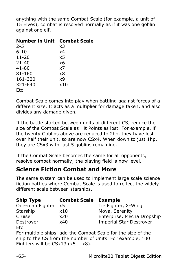anything with the same Combat Scale (for example, a unit of 15 Elves), combat is resolved normally as if it was one goblin against one elf.

| Number in Unit Combat Scale |
|-----------------------------|
| x3                          |
| х4                          |
| x5                          |
| xб                          |
| x7                          |
| x8                          |
| х9                          |
| x10                         |
|                             |
|                             |

Combat Scale comes into play when battling against forces of a different size. It acts as a multiplier for damage taken, and also divides any damage given.

If the battle started between units of different CS, reduce the size of the Combat Scale as Hit Points as lost. For example, if the twenty Goblins above are reduced to 2hp, they have lost over half their unit, so are now CSx4. When down to just 1hp, they are CSx3 with just 5 goblins remaining.

If the Combat Scale becomes the same for all opponents, resolve combat normally; the playing field is now level.

### **Science Fiction Combat and More**

The same system can be used to implement large scale science fiction battles where Combat Scale is used to reflect the widely different scale between starships.

| <b>Ship Type</b>        | <b>Combat Scale Example</b> |                                |
|-------------------------|-----------------------------|--------------------------------|
| One-man Fighter         | x5                          | Tie Fighter, X-Wing            |
| Starship                | x10                         | Moya, Serenity                 |
| Cruiser                 | x20                         | Enterprise, Mecha Dropship     |
| Destroyer<br><b>Etc</b> | x40                         | <b>Imperial Star Destroyer</b> |

For multiple ships, add the Combat Scale for the size of the ship to the CS from the number of Units. For example, 100 Fighters will be  $CSx13 (x5 + x8)$ .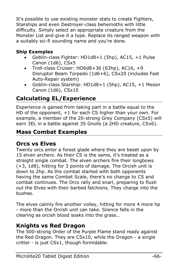It's possible to use existing monster stats to create Fighters, Starships and even Destroyer-class behemoths with little difficulty. Simply select an appropriate creature from the Monster List and give it a type. Replace its ranged weapon with a suitably sci-fi sounding name and you're done.

### **Ship Examples**

- Goblin-class Fighter: HD1d8+1 (5hp), AC15, +1 Pulse Canon (1d6), CSx5
- Troll-class Cruiser:  $HD6d8+36(63hp)$ , AC16,  $+9$ Disruptor Beam Torpedo (1d6+6), CSx20 (includes Fast Auto-Repair system)
- Goblin-class Starship: HD1d8+1 (5hp), AC15, +1 Meson Canon (1d6), CSx10

## **Calculating EL/Experience**

Experience is gained from taking part in a battle equal to the HD of the opponent, +1 for each CS higher than your own. For example, a member of the 20-strong Grey Company (CSx5) will earn 3EL in a battle against 35 Gnolls (a 2HD creature, CSx6).

## **Mass Combat Examples**

### **Orcs vs Elves**

Twenty orcs enter a forest glade where they are beset upon by 15 elven archers. As their CS is the same, it's treated as a straight single combat. The elven archers fire their longbows (+3, 1d8), hitting for 3 points of damage. The Orcish unit is down to 2hp. As the combat started with both opponents having the same Combat Scale, there's no change to CS and combat continues. The Orcs rally and snarl, preparing to flush out the Elves with their barbed falchions. They charge into the bushes.

The elves calmly fire another volley, hitting for more 4 more hp - more than the Orcish unit can take. Silence falls in the clearing as orcish blood soaks into the grass…

### **Knights vs Red Dragon**

The 500-strong Order of the Purple Flame stand ready against the Red Dragon. They are CSx10, while the Dragon - a single critter - is just CSx1, though formidable.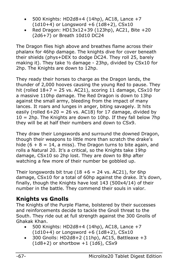- 500 Knights: HD2d8+4 (14hp), AC18, Lance +7  $(1d10+4)$  or Longsword  $+6$   $(1d8+2)$ , CS $x10$
- Red Dragon: HD13x12+39 (123hp), AC21, Bite +20 (2d6+7) or Breath 10d10 DC24

The Dragon flies high above and breathes flame across their phalanx for 46hp damage. The knights dive for cover beneath their shields (phys+DEX to dodge DC24. They roll 25, barely making it). They take ½ damage - 23hp, divided by CSx10 for 2hp. The Knights are down to 12hp.

They ready their horses to charge as the Dragon lands, the thunder of 2,000 hooves causing the young Red to pause. They hit (rolled  $18+7 = 25$  vs. AC21), scoring 11 damage, CSx10 for a massive 110hp damage. The Red Dragon is down to 13hp against the small army, bleeding from the impact of many lances. It roars and lunges in anger, biting savagely. It hits easily (rolled  $6+20 = 26$  vs. AC18) for 17 damage, divided by 10 = 2hp. The Knights are down to 10hp. If they fall below 7hp they will be at half their numbers and down to CSx9.

They draw their Longswords and surround the downed Dragon, though their weapons to little more than scratch the drake's hide  $(6 + 8 = 14$ , a miss). The Dragon turns to bite again, and rolls a Natural 20. It's a critical, so the Knights take 19hp damage, CSx10 so 2hp lost. They are down to 8hp after watching a few more of their number be gobbled up.

Their longswords bit true (18 +6 = 24 vs. AC21), for 6hp damage, CSx10 for a total of 60hp against the drake. It's down, finally, though the Knights have lost 143 (500x4/14) of their number in the battle. They commend their souls in valor.

## **Knights vs Gnolls**

The Knights of the Purple Flame, bolstered by their successes and reinforcements decide to tackle the Gnoll threat to the South. They ride out at full strength against the 300 Gnolls of Ghakak Khan.

- 500 Knights: HD2d8+4 (14hp), AC18, Lance +7  $(1d10+4)$  or Longsword  $+6$   $(1d8+2)$ , CS $\times$ 10
- $\bullet$  300 Gnolls: HD2d8+2 (11hp), AC15, Battleaxe +3  $(1d8+2)$  or shortbow  $+1$  (1d6), CSx9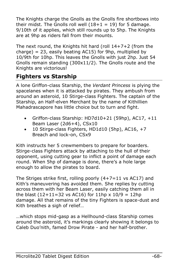The Knights charge the Gnolls as the Gnolls fire shortbows into their midst. The Gnolls roll well  $(18+1 = 19)$  for 5 damage. 9/10th of it applies, which still rounds up to 5hp. The Knights are at 9hp as riders fall from their mounts.

The next round, the Knights hit hard (roll 14+7+2 (from the charge) = 23, easily beating AC15) for 9hp, multiplied by 10/9th for 10hp. This leaves the Gnolls with just 2hp. Just 54 Gnolls remain standing (300x11/2). The Gnolls route and the Knights are victorious!

## **Fighters vs Starship**

A lone Griffon-class Starship, the *Verdant Princess* is plying the spacelanes when it is attacked by pirates. They ambush from around an asteroid, 10 Stirge-class Fighters. The captain of the Starship, an Half-elven Merchant by the name of Kithillien Mahadrascapore has little choice but to turn and fight.

- Griffon-class Starship: HD7d10+21 (59hp), AC17, +11 Beam Laser (2d6+4), CSx10
- 10 Stirge-class Fighters, HD1d10 (5hp), AC16, +7 Breach and lock-on, CSx9

Kith instructs her 5 crewmembers to prepare for boarders. Stirge-class Fighters attack by attaching to the hull of their opponent, using cutting gear to inflict a point of damage each round. When 5hp of damage is done, there's a hole large enough to allow the pirates to board.

The Striges strike first, rolling poorly  $(4+7=11$  vs AC17) and Kith's maneuvering has avoided them. She replies by cutting across them with her Beam Laser, easily catching them all in the blast  $(12+11=32 \text{ vs } AC16)$  for  $11$ hp x  $10/9 = 12$ hp damage. All that remains of the tiny Fighters is space-dust and Kith breathes a sigh of relief…

…which stops mid-gasp as a Hellhound-class Starship comes around the asteroid, it's markings clearly showing it belongs to Caleb Duo'nith, famed Drow Pirate - and her half-brother.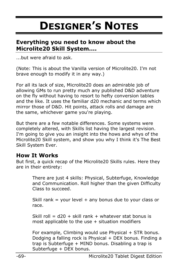# **DESIGNER'S NOTES**

#### **Everything you need to know about the Microlite20 Skill System....**

...but were afraid to ask.

(Note: This is about the Vanilla version of Microlite20. I'm not brave enough to modify it in any way.)

For all its lack of size, Microlite20 does an admirable job of allowing GMs to run pretty much any published D&D adventure on the fly without having to resort to hefty conversion tables and the like. It uses the familiar d20 mechanic and terms which mirror those of D&D. Hit points, attack rolls and damage are the same, whichever game you're playing.

But there are a few notable differences. Some systems were completely altered, with Skills list having the largest revision. I'm going to give you an insight into the hows and whys of the Microlite20 Skill system, and show you why I think it's The Best Skill System Ever.

#### **How It Works**

But first, a quick recap of the Microlite20 Skills rules. Here they are in their entirety:

> There are just 4 skills: Physical, Subterfuge, Knowledge and Communication. Roll higher than the given Difficulty Class to succeed.

Skill rank  $=$  your level  $+$  any bonus due to your class or race.

Skill roll =  $d20 +$  skill rank + whatever stat bonus is most applicable to the use  $+$  situation modifiers

For example, Climbing would use Physical + STR bonus. Dodging a falling rock is Physical + DEX bonus. Finding a trap is Subterfuge + MIND bonus. Disabling a trap is Subterfuge + DEX bonus.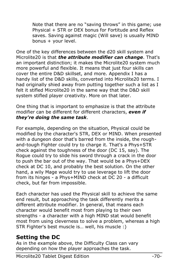Note that there are no "saving throws" in this game; use Physical + STR or DEX bonus for Fortitude and Reflex saves. Saving against magic (Will save) is usually MIND bonus + your level.

One of the key differences between the d20 skill system and Microlite20 is that *the attribute modifier can change*. That's an important distinction; it makes the Microlite20 system much more powerful and flexible. It means that just four skills can cover the entire D&D skillset, and more. Appendix I has a handy list of the D&D skills, converted into Microlite20 terms. I had originally shied away from putting together such a list as I felt it stifled Microlite20 in the same way that the D&D skill system stifled player creativity. More on that later.

One thing that is important to emphasize is that the attribute modifier can be different for different characters, *even if they're doing the same task*.

For example, depending on the situation, Physical could be modified by the character's STR, DEX or MIND. When presented with a dungeon door that's barred from the inside, the roughand-tough Fighter could try to charge it. That's a Phys+STR check against the toughness of the door (DC 15, say). The Rogue could try to slide his sword through a crack in the door to push the bar out of the way. That would be a Phys+DEX check at DC 10, and probably the best solution. On the other hand, a wily Mage would try to use leverage to lift the door from its hinges - a Phys+MIND check at DC 20 - a difficult check, but far from impossible.

Each character has used the Physical skill to achieve the same end result, but approaching the task differently merits a different attribute modifier. In general, that means each character would benefit most from playing to their own strengths - a character with a high MIND stat would benefit most from using cleverness to solve a problem, whereas a high STR Fighter's best muscle is… well, his muscle :)

#### **Setting the DC**

As in the example above, the Difficulty Class can vary depending on how the player approaches the task.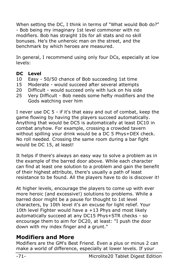When setting the DC, I think in terms of "What would Bob do?" - Bob being my imaginary 1st level commoner with no modifiers. Bob has straight 10s for all stats and no skill bonuses. He's the unheroic man on the street, and the benchmark by which heroes are measured.

In general, I recommend using only four DCs, especially at low levels:

#### **DC Level**

- 10 Easy 50/50 chance of Bob succeeding 1st time
- 15 Moderate would succeed after several attempts
- 20 Difficult would succeed only with luck on his side
- 25 Very Difficult Bob needs some hefty modifiers and the Gods watching over him

I never use DC 5 - if it's that easy and out of combat, keep the game flowing by having the players succeed automatically. Anything that would be DC5 is automatically at least DC10 in combat anyhow. For example, crossing a crowded tavern without spilling your drink would be a DC 5 Phys+DEX check. No roll needed. Crossing the same room during a bar fight would be DC 15, at least!

It helps if there's always an easy way to solve a problem as in the example of the barred door above. While each character can find at least one solution to a problem and gain the benefit of their highest attribute, there's usually a path of least resistance to be found. All the players have to do is discover it!

At higher levels, encourage the players to come up with ever more heroic (and excessive!) solutions to problems. While a barred door might be a pause for thought to 1st level characters, by 10th level it's an excuse for light relief. Your 10th level Fighter would have a  $+13$  Phys and most likely automatically succeed at any DC15 Phys+STR checks - so encourage them to aim for DC20, at least: "I push the door down with my index finger and a grunt."

### **Modifiers and More**

Modifiers are the GM's Best Friend. Even a plus or minus 2 can make a world of difference, especially at lower levels. If your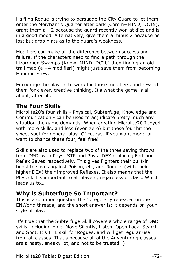Halfling Rogue is trying to persuade the City Guard to let them enter the Merchant's Quarter after dark (Comm+MIND, DC15), grant them a +2 because the guard recently won at dice and is in a good mood. Alternatively, give them a minus 2 because he lost but drop hints as to the guard's weakness.

Modifiers can make all the difference between success and failure. If the characters need to find a path through the Lizardmen Swamps (Know+MIND, DC20) then finding an old trail map (a +4 modifier!) might just save them from becoming Hooman Stew.

Encourage the players to work for those modifiers, and reward them for clever, creative thinking. It's what the game is all about, after all.

#### **The Four Skills**

Microlite20's four skills - Physical, Subterfuge, Knowledge and Communication - can be used to adjudicate pretty much any situation the game demands. When creating Microlite20 I toyed with more skills, and less (even zero) but these four hit the sweet spot for general play. Of course, if you want more, or want to chance these four, feel free!

Skills are also used to replace two of the three saving throws from D&D, with Phys+STR and Phys+DEX replacing Fort and Reflex Saves respectively. This gives Fighters their built-in boost to saves against Poison, etc, and Rogues (with their higher DEX) their improved Reflexes. It also means that the Phys skill is important to all players, regardless of class. Which leads us to…

### **Why is Subterfuge So Important?**

This is a common question that's regularly repeated on the ENWorld threads, and the short answer is: it depends on your style of play.

It's true that the Subterfuge Skill covers a whole range of D&D skills, including Hide, Move Silently, Listen, Open Lock, Search and Spot. It's THE skill for Rogues, and will get regular use from all classes. That's because all of the Adventuring classes are a nasty, sneaky lot, and not to be trusted :)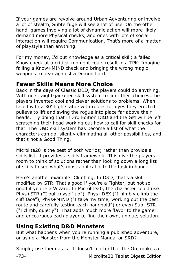If your games are revolve around Urban Adventuring or involve a lot of stealth, Subterfuge will see a lot of use. On the other hand, games involving a lot of dynamic action will more likely demand more Physical checks, and ones with lots of social interaction will require Communication. That's more of a matter of playstyle than anything.

For my money, I'd put Knowledge as a critical skill; a failed Know check at a critical moment could result in a TPK. Imagine failing a Know+MIND check and bringing the wrong magic weapons to bear against a Demon Lord.

### **Fewer Skills Means More Choice**

Back in the days of Classic D&D, the players could do anything. With no straight-jacketed skill system to limit their choices, the players invented cool and clever solutions to problems. When faced with a 30' high statue with rubies for eyes they erected pulleys to lift and swing the rogue into place far above their heads. Try doing that in 3rd Edition D&D and the GM will be left scratching their head working out how to call for skill checks for that. The D&D skill system has become a list of what the characters can do, silently eliminating all other possibilities, and that's not a Good Thing.

Microlite20 is the best of both worlds; rather than provide a skills list, it provides a skills framework. This give the players room to think of solutions rather than looking down a long list of skills to see what's most applicable to the task in hand.

Here's another example: Climbing. In D&D, that's a skill modified by STR. That's good if you're a Fighter, but not so good if you're a Wizard. In Microlite20, the character could use Phys+STR ("I pull myself up"), Phys+DEX ("I nimbly climb the cliff face"), Phys+MIND ("I take my time, working out the best route and carefully testing each handhold") or even Sub+STR ("I climb, quietly"). That adds much more flavor to the game and encourages each player to find their own, unique, solution.

### **Using Existing D&D Monsters**

But what happens when you're running a published adventure, or using a Monster from the Monster Manual or SRD?

Simple; use them as is. It doesn't matter that the Orc makes a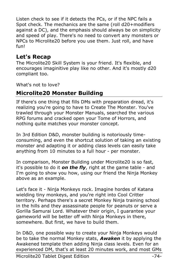Listen check to see if it detects the PCs, or if the NPC fails a Spot check. The mechanics are the same (roll d20+modifiers against a DC), and the emphasis should always be on simplicity and speed of play. There's no need to convert any monsters or NPCs to Microlite20 before you use them. Just roll, and have fun!

### **Let's Recap**

The Microlite20 Skill System is your friend. It's flexible, and encourages imaginitive play like no other. And it's mostly d20 compliant too.

What's not to love?

### **Microlite20 Monster Building**

If there's one thing that fills DMs with preparation dread, it's realizing you're going to have to Create The Monster. You've trawled through your Monster Manuals, searched the various RPG forums and cracked open your Tome of Horrors, and nothing quite matches your monster concept.

In 3rd Edition D&D, monster building is notoriously timeconsuming, and even the shortcut solution of taking an existing monster and adapting it or adding class levels can easily take anything from 10 minutes to a full hour - per monster.

In comparison, Monster Building under Microlite20 is so fast, it's possible to do it *on the fly*, right at the game table - and I'm going to show you how, using our friend the Ninja Monkey above as an example.

Let's face it - Ninja Monkeys rock. Imagine hordes of Katana wielding tiny monkeys, and you're right into Cool Critter territory. Perhaps there's a secret Monkey Ninja training school in the hills and they assassinate people for peanuts or serve a Gorilla Samurai Lord. Whatever their origin, I guarantee your gameworld will be better off with Ninja Monkeys in there, somewhere. But first, we have to build them.

In D&D, one possible way to create your Ninja Monkeys would be to take the normal Monkey stats, *Awaken* it by applying the Awakened template then adding Ninja class levels. Even for an experienced DM, that's at least 20 minutes work, and most GMs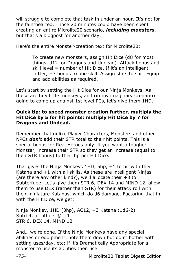will struggle to complete that task in under an hour. It's not for the fainthearted. Those 20 minutes could have been spent creating an entire Microlite20 scenario, *including monsters*, but that's a blogpost for another day.

Here's the entire Monster-creation text for Microlite20:

To create new monsters, assign Hit Dice (d8 for most things, d12 for Dragons and Undead). Attack bonus and skill level = number of Hit Dice. If it's an intelligent critter, +3 bonus to one skill. Assign stats to suit. Equip and add abilities as required.

Let's start by setting the Hit Dice for our Ninja Monkeys. As these are tiny little monkeys, and (in my imaginary scenario) going to come up against 1st level PCs, let's give them 1HD.

#### **Quick tip: to speed monster creation further, multiply the Hit Dice by 5 for hit points; multiply Hit Dice by 7 for Dragons and Undead.**

Remember that unlike Player Characters, Monsters and other NPCs *don't* add their STR total to their hit points. This is a special bonus for Real Heroes only. If you want a tougher Monster, increase their STR so they get an increase (equal to their STR bonus) to their hp per Hit Dice.

That gives the Ninja Monkeys 1HD, 5hp, +1 to hit with their Katana and +1 with all skills. As these are intelligent Ninjas (are there any other kind?), we'll allocate their +3 to Subterfuge. Let's give them STR 6, DEX 14 and MIND 12, allow them to use DEX (rather than STR) for their attack roll with their miniature Katanas, which do d6 damage. Factoring that in with the Hit Dice, we get:

Ninja Monkey, 1HD (3hp), AC12, +3 Katana (1d6-2) Sub+4, all others  $@ +1$ STR 6, DEX 14, MIND 12

And… we're done. If the Ninja Monkeys have any special abilities or equipment, note them down but don't bother with setting uses/day, etc; if it's Dramatically Appropriate for a monster to use its abilities then use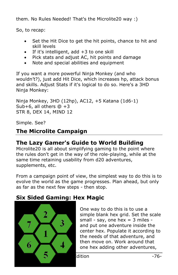them. No Rules Needed! That's the Microlite20 way :)

So, to recap:

- Set the Hit Dice to get the hit points, chance to hit and skill levels
- If it's intelligent, add +3 to one skill
- Pick stats and adjust AC, hit points and damage
- Note and special abilities and equipment

If you want a more powerful Ninja Monkey (and who wouldn't?), just add Hit Dice, which increases hp, attack bonus and skills. Adjust Stats if it's logical to do so. Here's a 3HD Ninja Monkey:

Ninja Monkey, 3HD (12hp), AC12, +5 Katana (1d6-1) Sub+6, all others  $@ +3$ STR 8, DEX 14, MIND 12

Simple. See?

# **The Microlite Campaign**

### **The Lazy Gamer's Guide to World Building**

Microlite20 is all about simplifying gaming to the point where the rules don't get in the way of the role-playing, while at the same time retaining usability from d20 adventures, supplements, etc.

From a campaign point of view, the simplest way to do this is to evolve the world as the game progresses. Plan ahead, but only as far as the next few steps - then stop.

### **Six Sided Gaming: Hex Magic**



One way to do this is to use a simple blank hex grid. Set the scale small - say, one hex  $=$  3 miles and put one adventure inside the center hex. Populate it according to the needs of that adventure, and then move on. Work around that one hex adding other adventures,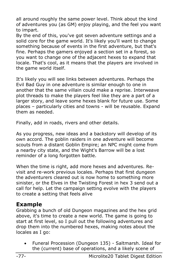all around roughly the same power level. Think about the kind of adventures you (as GM) enjoy playing, and the feel you want to impart.

By the end of this, you've got seven adventure settings and a solid core for the game world. It's likely you'll want to change something because of events in the first adventure, but that's fine. Perhaps the gamers enjoyed a section set in a forest, so you want to change one of the adjacent hexes to expand that locale. That's cool, as it means that the players are involved in the game world itself.

It's likely you will see links between adventures. Perhaps the Evil Bad Guy in one adventure is similar enough to one in another that the same villain could make a reprise. Interweave plot threads to make the players feel like they are a part of a larger story, and leave some hexes blank for future use. Some places – particularly cities and towns - will be reusable. Expand them as needed.

Finally, add in roads, rivers and other details.

As you progress, new ideas and a backstory will develop of its own accord. The goblin raiders in one adventure will become scouts from a distant Goblin Empire; an NPC might come from a nearby city state, and the Wight's Barrow will be a lost reminder of a long forgotten battle.

When the time is right, add more hexes and adventures. Revisit and re-work previous locales. Perhaps that first dungeon the adventurers cleared out is now home to something more sinister, or the Elves in the Twisting Forest in hex 3 send out a call for help. Let the campaign setting evolve with the players to create a setting that feels alive

## **Example**

Grabbing a bunch of old Dungeon magazines and the hex grid above, it's time to create a new world. The game is going to start at first level, so I pull out the following adventures and drop them into the numbered hexes, making notes about the locales as I go:

 Funeral Procession (Dungeon 135) - Saltmarsh. Ideal for the (current) base of operations, and a likely scene of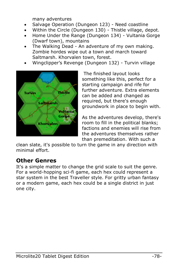many adventures

- Salvage Operation (Dungeon 123) Need coastline
- Within the Circle (Dungeon 130) Thistle village, depot.
- Home Under the Range (Dungeon 134) Vultania Gorge (Dwarf town), mountains
- The Walking Dead An adventure of my own making. Zombie hordes wipe out a town and march toward Saltmarsh. Khorvalen town, forest.
- Wingclipper's Revenge (Dungeon 132) Turvin village



The finished layout looks something like this, perfect for a starting campaign and rife for further adventure. Extra elements can be added and changed as required, but there's enough groundwork in place to begin with.

As the adventures develop, there's room to fill in the political blanks; factions and enemies will rise from the adventures themselves rather than premeditation. With such a

clean slate, it's possible to turn the game in any direction with minimal effort.

### **Other Genres**

It's a simple matter to change the grid scale to suit the genre. For a world-hopping sci-fi game, each hex could represent a star system in the best Traveller style. For gritty urban fantasy or a modern game, each hex could be a single district in just one city.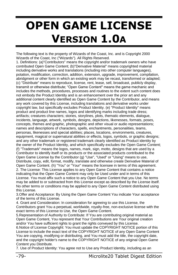# **OPEN GAME LICENSE VERSION 1.0A**

The following text is the property of Wizards of the Coast, Inc. and is Copyright 2000 Wizards of the Coast, Inc ("Wizards"). All Rights Reserved.

1. Definitions: (a)"Contributors" means the copyright and/or trademark owners who have contributed Open Game Content; (b)"Derivative Material" means copyrighted material including derivative works and translations (including into other computer languages), potation, modification, correction, addition, extension, upgrade, improvement, compilation, abridgment or other form in which an existing work may be recast, transformed or adapted; (c) "Distribute" means to reproduce, license, rent, lease, sell, broadcast, publicly display, transmit or otherwise distribute; "Open Game Content" means the game mechanic and includes the methods, procedures, processes and routines to the extent such content does not embody the Product Identity and is an enhancement over the prior art and any additional content clearly identified as Open Game Content by the Contributor, and means any work covered by this License, including translations and derivative works under copyright law, but specifically excludes Product Identity. (e) "Product Identity" means product and product line names, logos and identifying marks including trade dress; artifacts; creatures characters; stories, storylines, plots, thematic elements, dialogue, incidents, language, artwork, symbols, designs, depictions, likenesses, formats, poses, concepts, themes and graphic, photographic and other visual or audio representations; names and descriptions of characters, spells, enchantments, personalities, teams, personas, likenesses and special abilities; places, locations, environments, creatures, equipment, magical or supernatural abilities or effects, logos, symbols, or graphic designs; and any other trademark or registered trademark clearly identified as Product identity by the owner of the Product Identity, and which specifically excludes the Open Game Content; (f) "Trademark" means the logos, names, mark, sign, motto, designs that are used by a Contributor to identify itself or its products or the associated products contributed to the Open Game License by the Contributor (g) "Use", "Used" or "Using" means to use, Distribute, copy, edit, format, modify, translate and otherwise create Derivative Material of Open Game Content. (h) "You" or "Your" means the licensee in terms of this agreement. 2. The License: This License applies to any Open Game Content that contains a notice indicating that the Open Game Content may only be Used under and in terms of this License. You must affix such a notice to any Open Game Content that you Use. No terms may be added to or subtracted from this License except as described by the License itself. No other terms or conditions may be applied to any Open Game Content distributed using this License.

3.Offer and Acceptance: By Using the Open Game Content You indicate Your acceptance of the terms of this License.

4. Grant and Consideration: In consideration for agreeing to use this License, the Contributors grant You a perpetual, worldwide, royalty-free, non-exclusive license with the exact terms of this License to Use, the Open Game Content.

5.Representation of Authority to Contribute: If You are contributing original material as Open Game Content, You represent that Your Contributions are Your original creation and/or You have sufficient rights to grant the rights conveyed by this License.

6.Notice of License Copyright: You must update the COPYRIGHT NOTICE portion of this License to include the exact text of the COPYRIGHT NOTICE of any Open Game Content You are copying, modifying or distributing, and You must add the title, the copyright date, and the copyright holder's name to the COPYRIGHT NOTICE of any original Open Game Content you Distribute.

7. Use of Product Identity: You agree not to Use any Product Identity, including as an